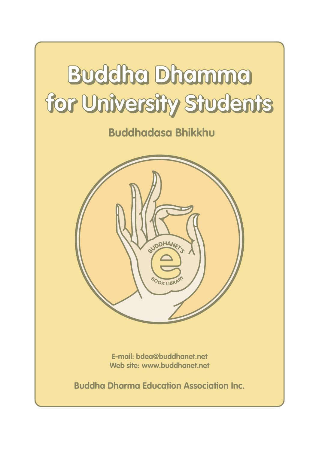# **Buddha Dhamma Buddha Dhamma for University Students for University Students**

**Buddhadasa Bhikkhu**



**E-mail: bdea@buddhanet.net Web site: www.buddhanet.net**

**Buddha Dharma Education Association Inc.**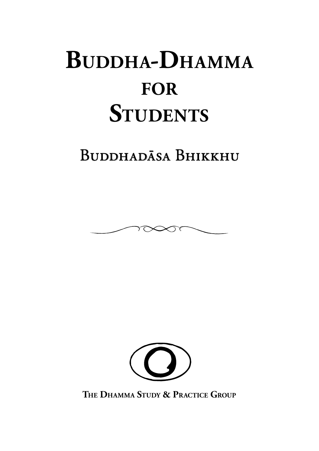## **BUDDHA-DHAMMA FOR STUDENTS**

## BUDDHADĀSA BHIKKHU





**THE DHAMMA STUDY & PRACTICE GROUP**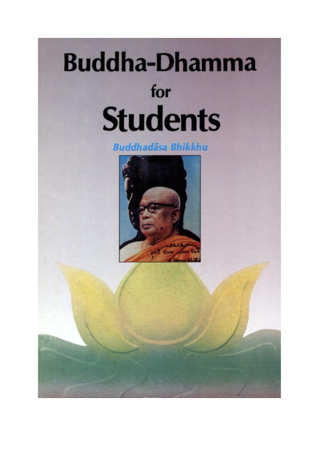# **Buddha-Dhamma** for **Students**

**Buddhadāsa Bhikkhu** 

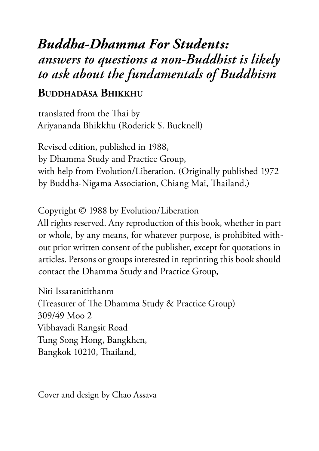## *Buddha-Dhamma For Students: answers to questions a non-Buddhist is likely to ask about the fundamentals of Buddhism*

#### **BUDDHADĀSA BHIKKHU**

translated from the Thai by Ariyananda Bhikkhu (Roderick S. Bucknell)

Revised edition, published in 1988, by Dhamma Study and Practice Group, with help from Evolution/Liberation. (Originally published 1972) by Buddha-Nigama Association, Chiang Mai, Thailand.)

Copyright © 1988 by Evolution / Liberation

All rights reserved. Any reproduction of this book, whether in part or whole, by any means, for whatever purpose, is prohibited without prior written consent of the publisher, except for quotations in articles. Persons or groups interested in reprinting this book should contact the Dhamma Study and Practice Group,

Niti Issaranitithanm (Treasurer of The Dhamma Study & Practice Group) 309/49 Moo 2 Vibhavadi Rangsit Road Tung Song Hong, Bangkhen, Bangkok 10210, Thailand,

Cover and design by Chao Assava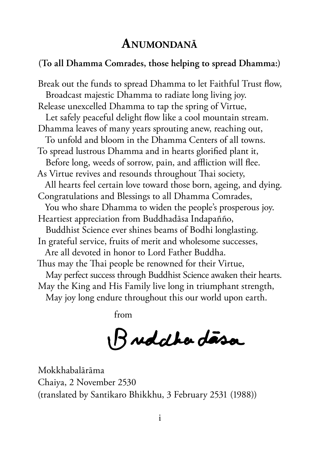#### **ANUMONDANĀ**

#### **(To all Dhamma Comrades, those helping to spread Dhamma:)**

Break out the funds to spread Dhamma to let Faithful Trust flow, Broadcast majestic Dhamma to radiate long living joy. Release unexcelled Dhamma to tap the spring of Virtue, Let safely peaceful delight flow like a cool mountain stream. Dhamma leaves of many years sprouting anew, reaching out, To unfold and bloom in the Dhamma Centers of all towns. To spread lustrous Dhamma and in hearts glorified plant it, Before long, weeds of sorrow, pain, and affliction will flee. As Virtue revives and resounds throughout Thai society, All hearts feel certain love toward those born, ageing, and dying. Congratulations and Blessings to all Dhamma Comrades, You who share Dhamma to widen the people's prosperous joy. Heartiest appreciation from Buddhadāsa Indapañño, Buddhist Science ever shines beams of Bodhi longlasting. In grateful service, fruits of merit and wholesome successes, Are all devoted in honor to Lord Father Buddha. Thus may the Thai people be renowned for their Virtue, May perfect success through Buddhist Science awaken their hearts. May the King and His Family live long in triumphant strength, May joy long endure throughout this our world upon earth.

from

Breddhadosa

Mokkhabalārāma Chaiya, 2 November 2530 (translated by Santikaro Bhikkhu, 3 February 2531 (1988))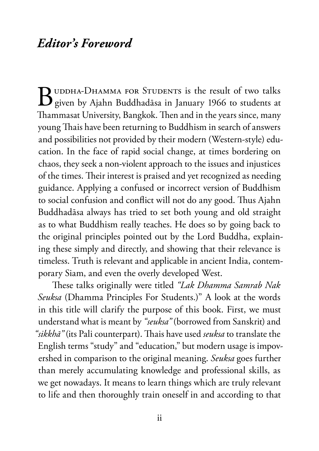#### <span id="page-5-0"></span>*Editor's Foreword*

BUDDHA-DHAMMA FOR STUDENTS is the result of two talks<br>given by Ajahn Buddhadāsa in January 1966 to students at given by Ajahn Buddhadāsa in January 1966 to students at Thammasat University, Bangkok. Then and in the years since, many young Thais have been returning to Buddhism in search of answers and possibilities not provided by their modern (Western-style) education. In the face of rapid social change, at times bordering on chaos, they seek a non-violent approach to the issues and injustices of the times. Their interest is praised and yet recognized as needing guidance. Applying a confused or incorrect version of Buddhism to social confusion and conflict will not do any good. Thus Ajahn Buddhadāsa always has tried to set both young and old straight as to what Buddhism really teaches. He does so by going back to the original principles pointed out by the Lord Buddha, explaining these simply and directly, and showing that their relevance is timeless. Truth is relevant and applicable in ancient India, contemporary Siam, and even the overly developed West.

These talks originally were titled *"Lak Dhamma Samrab Nak Seuksa* (Dhamma Principles For Students.)" A look at the words in this title will clarify the purpose of this book. First, we must understand what is meant by *"seuksa"* (borrowed from Sanskrit) and *"sikkhā"* (its Pali counterpart). Thais have used *seuksa* to translate the English terms "study" and "education," but modern usage is impovershed in comparison to the original meaning. *Seuksa* goes further than merely accumulating knowledge and professional skills, as we get nowadays. It means to learn things which are truly relevant to life and then thoroughly train oneself in and according to that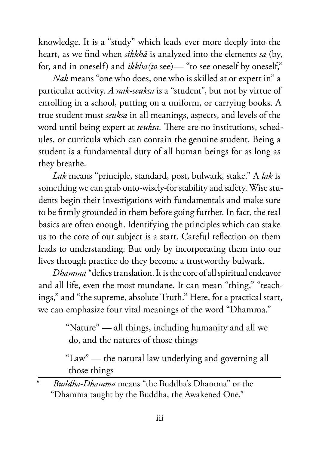knowledge. It is a "study" which leads ever more deeply into the heart, as we find when *sikkhā* is analyzed into the elements *sa* (by, for, and in oneself) and *ikkha(to* see)— "to see oneself by oneself,"

*Nak* means "one who does, one who is skilled at or expert in" a particular activity. *A nak-seuksa* is a "student", but not by virtue of enrolling in a school, putting on a uniform, or carrying books. A true student must *seuksa* in all meanings, aspects, and levels of the word until being expert at *seuksa.* There are no institutions, schedules, or curricula which can contain the genuine student. Being a student is a fundamental duty of all human beings for as long as they breathe.

*Lak* means "principle, standard, post, bulwark, stake." A *lak* is something we can grab onto-wisely-for stability and safety. Wise students begin their investigations with fundamentals and make sure to be firmly grounded in them before going further. In fact, the real basics are often enough. Identifying the principles which can stake us to the core of our subject is a start. Careful reflection on them leads to understanding. But only by incorporating them into our lives through practice do they become a trustworthy bulwark.

*Dhamma \** defies translation. It is the core of all spiritual endeavor and all life, even the most mundane. It can mean "thing," "teachings," and "the supreme, absolute Truth." Here, for a practical start, we can emphasize four vital meanings of the word "Dhamma."

> "Nature" — all things, including humanity and all we do, and the natures of those things

> "Law" — the natural law underlying and governing all those things

*\* Buddha-Dhamma* means "the Buddha's Dhamma" or the "Dhamma taught by the Buddha, the Awakened One."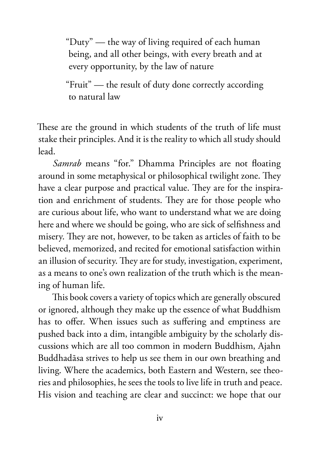"Duty" — the way of living required of each human being, and all other beings, with every breath and at every opportunity, by the law of nature

"Fruit" — the result of duty done correctly according to natural law

These are the ground in which students of the truth of life must stake their principles. And it is the reality to which all study should lead.

Samrab means "for." Dhamma Principles are not floating around in some metaphysical or philosophical twilight zone. They have a clear purpose and practical value. They are for the inspiration and enrichment of students. They are for those people who are curious about life, who want to understand what we are doing here and where we should be going, who are sick of selfishness and misery. They are not, however, to be taken as articles of faith to be believed, memorized, and recited for emotional satisfaction within an illusion of security. They are for study, investigation, experiment, as a means to one's own realization of the truth which is the meaning of human life.

This book covers a variety of topics which are generally obscured or ignored, although they make up the essence of what Buddhism has to offer. When issues such as suffering and emptiness are pushed back into a dim, intangible ambiguity by the scholarly discussions which are all too common in modern Buddhism, Ajahn Buddhadāsa strives to help us see them in our own breathing and living. Where the academics, both Eastern and Western, see theories and philosophies, he sees the tools to live life in truth and peace. His vision and teaching are clear and succinct: we hope that our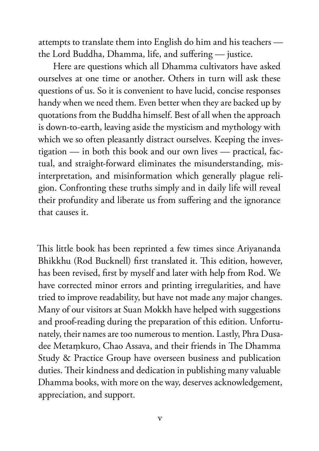attempts to translate them into English do him and his teachers the Lord Buddha, Dhamma, life, and suffering — justice.

Here are questions which all Dhamma cultivators have asked ourselves at one time or another. Others in turn will ask these questions of us. So it is convenient to have lucid, concise responses handy when we need them. Even better when they are backed up by quotations from the Buddha himself. Best of all when the approach is down-to-earth, leaving aside the mysticism and mythology with which we so often pleasantly distract ourselves. Keeping the investigation — in both this book and our own lives — practical, factual, and straight-forward eliminates the misunderstanding, misinterpretation, and misinformation which generally plague religion. Confronting these truths simply and in daily life will reveal their profundity and liberate us from suffering and the ignorance that causes it.

This little book has been reprinted a few times since Ariyananda Bhikkhu (Rod Bucknell) first translated it. This edition, however, has been revised, first by myself and later with help from Rod. We have corrected minor errors and printing irregularities, and have tried to improve readability, but have not made any major changes. Many of our visitors at Suan Mokkh have helped with suggestions and proof-reading during the preparation of this edition. Unfortunately, their names are too numerous to mention. Lastly, Phra Dusadee Metaṃkuro, Chao Assava, and their friends in The Dhamma Study & Practice Group have overseen business and publication duties. Their kindness and dedication in publishing many valuable Dhamma books, with more on the way, deserves acknowledgement, appreciation, and support.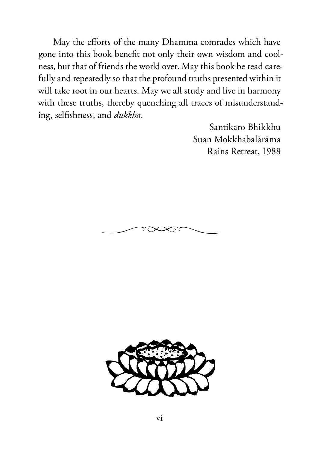May the efforts of the many Dhamma comrades which have gone into this book benefit not only their own wisdom and coolness, but that of friends the world over. May this book be read carefully and repeatedly so that the profound truths presented within it will take root in our hearts. May we all study and live in harmony with these truths, thereby quenching all traces of misunderstanding, selfishness, and *dukkha.*

> Santikaro Bhikkhu Suan Mokkhabalārāma Rains Retreat, 1988



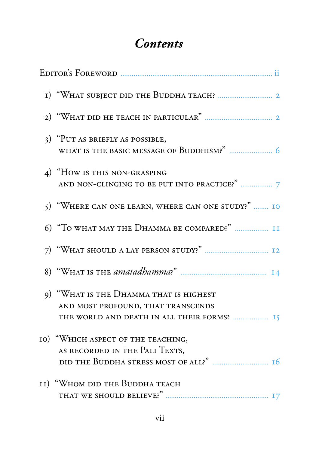#### *Contents*

| 3) "PUT AS BRIEFLY AS POSSIBLE,                                                                                             |
|-----------------------------------------------------------------------------------------------------------------------------|
| 4) "How is this non-grasping                                                                                                |
| 5) "WHERE CAN ONE LEARN, WHERE CAN ONE STUDY?"  10                                                                          |
| 6) "TO WHAT MAY THE DHAMMA BE COMPARED?"  II                                                                                |
|                                                                                                                             |
|                                                                                                                             |
| 9) "WHAT IS THE DHAMMA THAT IS HIGHEST<br>AND MOST PROFOUND, THAT TRANSCENDS<br>THE WORLD AND DEATH IN ALL THEIR FORMS?  15 |
| 10) "WHICH ASPECT OF THE TEACHING,<br>AS RECORDED IN THE PALI TEXTS,                                                        |
| 11) "WHOM DID THE BUDDHA TEACH                                                                                              |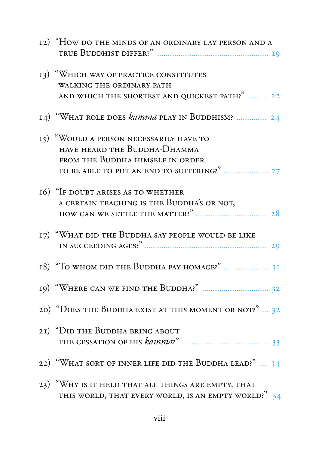| 12) "How do the minds of an ordinary lay person and a                                                                 |
|-----------------------------------------------------------------------------------------------------------------------|
| 13) "WHICH WAY OF PRACTICE CONSTITUTES<br>WALKING THE ORDINARY PATH<br>AND WHICH THE SHORTEST AND QUICKEST PATH?"  22 |
| 14) "WHAT ROLE DOES <i>kamma</i> PLAY IN BUDDHISM?  24                                                                |
| 15) "WOULD A PERSON NECESSARILY HAVE TO<br>HAVE HEARD THE BUDDHA-DHAMMA<br>FROM THE BUDDHA HIMSELF IN ORDER           |
| 16) "IF DOUBT ARISES AS TO WHETHER<br>A CERTAIN TEACHING IS THE BUDDHA'S OR NOT,                                      |
| 17) "WHAT DID THE BUDDHA SAY PEOPLE WOULD BE LIKE                                                                     |
|                                                                                                                       |
|                                                                                                                       |
| 20) "DOES THE BUDDHA EXIST AT THIS MOMENT OR NOT?"  32                                                                |
| 21) "DID THE BUDDHA BRING ABOUT                                                                                       |
| 22) "WHAT SORT OF INNER LIFE DID THE BUDDHA LEAD?"  34                                                                |
| 23) "WHY IS IT HELD THAT ALL THINGS ARE EMPTY, THAT<br>THIS WORLD, THAT EVERY WORLD, IS AN EMPTY WORLD? 34            |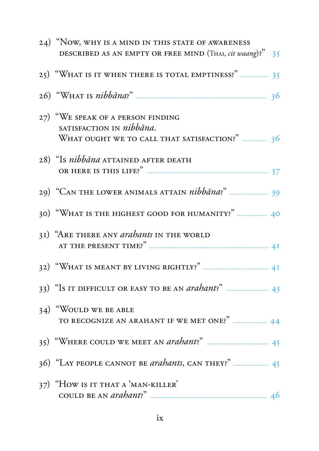| 24) "Now, why is a mind in this state of awareness                                                                     |
|------------------------------------------------------------------------------------------------------------------------|
| DESCRIBED AS AN EMPTY OR FREE MIND (THAI, cit waang)?" 35                                                              |
| 25) "WHAT IS IT WHEN THERE IS TOTAL EMPTINESS?"  35                                                                    |
|                                                                                                                        |
| 27) "WE SPEAK OF A PERSON FINDING<br>SATISFACTION IN <i>nibbana</i> .<br>WHAT OUGHT WE TO CALL THAT SATISFACTION?"  36 |
| 28) "Is <i>nibbana</i> ATTAINED AFTER DEATH                                                                            |
|                                                                                                                        |
| 30) "WHAT IS THE HIGHEST GOOD FOR HUMANITY?"  40                                                                       |
| 31) "ARE THERE ANY <i>arabants</i> IN THE WORLD                                                                        |
|                                                                                                                        |
|                                                                                                                        |
| 34) WOULD WE BE ABLE<br>TO RECOGNIZE AN ARAHANT IF WE MET ONE?"  44                                                    |
|                                                                                                                        |
| 36) "LAY PEOPLE CANNOT BE <i>arabants</i> , CAN THEY?"  45                                                             |
| 37) "How IS IT THAT A 'MAN-KILLER'                                                                                     |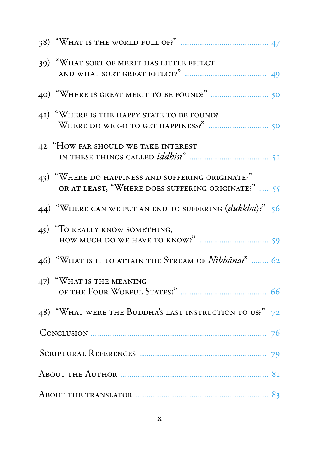| 39) "WHAT SORT OF MERIT HAS LITTLE EFFECT                                                               |  |
|---------------------------------------------------------------------------------------------------------|--|
|                                                                                                         |  |
| 41) "WHERE IS THE HAPPY STATE TO BE FOUND?                                                              |  |
| 42 "HOW FAR SHOULD WE TAKE INTEREST                                                                     |  |
| 43) "WHERE DO HAPPINESS AND SUFFERING ORIGINATE?"<br>OR AT LEAST, "WHERE DOES SUFFERING ORIGINATE?"  55 |  |
| 44) "WHERE CAN WE PUT AN END TO SUFFERING (dukkha)?" 56                                                 |  |
| 45) "TO REALLY KNOW SOMETHING,                                                                          |  |
| 46) "WHAT IS IT TO ATTAIN THE STREAM OF <i>Nibbana</i> ?"  62                                           |  |
| 47) "WHAT IS THE MEANING                                                                                |  |
| 48) "WHAT WERE THE BUDDHA'S LAST INSTRUCTION TO US?" 72                                                 |  |
|                                                                                                         |  |
|                                                                                                         |  |
|                                                                                                         |  |
|                                                                                                         |  |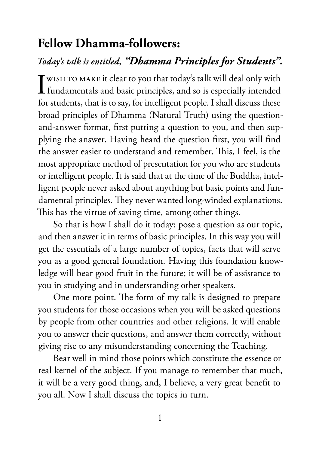### **Fellow Dhamma-followers:**

#### *Today' s talk is entitled, "Dhamma Principles for Students".*

I WISH TO MAKE it clear to you that today's talk will deal only with fundamentals and basic principles, and so is especially intended for students, that is to say, for intelligent people. I shall discuss these broad principles of Dhamma (Natural Truth) using the questionand-answer format, first putting a question to you, and then supplying the answer. Having heard the question first, you will find the answer easier to understand and remember. This, I feel, is the most appropriate method of presentation for you who are students or intelligent people. It is said that at the time of the Buddha, intelligent people never asked about anything but basic points and fundamental principles. They never wanted long-winded explanations. This has the virtue of saving time, among other things.

So that is how I shall do it today: pose a question as our topic, and then answer it in terms of basic principles. In this way you will get the essentials of a large number of topics, facts that will serve you as a good general foundation. Having this foundation knowledge will bear good fruit in the future; it will be of assistance to you in studying and in understanding other speakers.

One more point. The form of my talk is designed to prepare you students for those occasions when you will be asked questions by people from other countries and other religions. It will enable you to answer their questions, and answer them correctly, without giving rise to any misunderstanding concerning the Teaching.

Bear well in mind those points which constitute the essence or real kernel of the subject. If you manage to remember that much, it will be a very good thing, and, I believe, a very great benefit to you all. Now I shall discuss the topics in turn.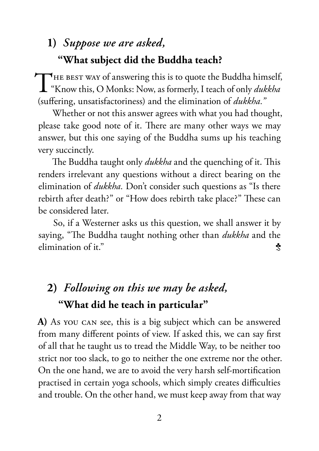## <span id="page-15-0"></span>**1)** *Suppose we are asked,*  **1) "What subject did the Buddha teach?**

THE BEST WAY of answering this is to quote the Buddha himself,<br>"Know this, O Monks: Now, as formerly, I teach of only *dukkha* "Know this, O Monks: Now, as formerly, I teach of only *dukkha*  (suffering, unsatisfactoriness) and the elimination of *dukkha."*

Whether or not this answer agrees with what you had thought, please take good note of it. There are many other ways we may answer, but this one saying of the Buddha sums up his teaching very succinctly.

The Buddha taught only *dukkha* and the quenching of it. This renders irrelevant any questions without a direct bearing on the elimination of *dukkha.* Don't consider such questions as "Is there rebirth after death?" or "How does rebirth take place?" These can be considered later.

So, if a Westerner asks us this question, we shall answer it by saying, "The Buddha taught nothing other than *dukkha* and the elimination of it."

## **2)** *Following on this we may be asked,*  **2) "What did he teach in particular"**

**A)** AS YOU CAN see, this is a big subject which can be answered from many different points of view. If asked this, we can say first of all that he taught us to tread the Middle Way, to be neither too strict nor too slack, to go to neither the one extreme nor the other. On the one hand, we are to avoid the very harsh self-mortification practised in certain yoga schools, which simply creates difficulties and trouble. On the other hand, we must keep away from that way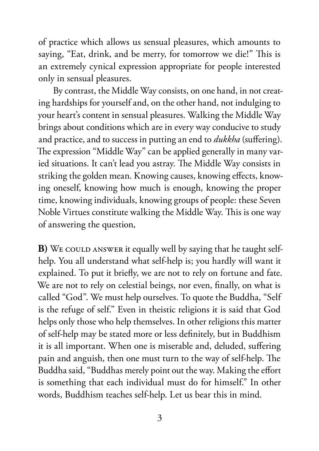of practice which allows us sensual pleasures, which amounts to saying, "Eat, drink, and be merry, for tomorrow we die!" This is an extremely cynical expression appropriate for people interested only in sensual pleasures.

By contrast, the Middle Way consists, on one hand, in not creating hardships for yourself and, on the other hand, not indulging to your heart's content in sensual pleasures. Walking the Middle Way brings about conditions which are in every way conducive to study and practice, and to success in putting an end to *dukkha* (suffering). The expression "Middle Way" can be applied generally in many varied situations. It can't lead you astray. The Middle Way consists in striking the golden mean. Knowing causes, knowing effects, knowing oneself, knowing how much is enough, knowing the proper time, knowing individuals, knowing groups of people: these Seven Noble Virtues constitute walking the Middle Way. This is one way of answering the question,

**B)** WE COULD ANSWER it equally well by saying that he taught selfhelp. You all understand what self-help is; you hardly will want it explained. To put it briefly, we are not to rely on fortune and fate. We are not to rely on celestial beings, nor even, finally, on what is called "God". We must help ourselves. To quote the Buddha, "Self is the refuge of self." Even in theistic religions it is said that God helps only those who help themselves. In other religions this matter of self-help may be stated more or less definitely, but in Buddhism it is all important. When one is miserable and, deluded, suffering pain and anguish, then one must turn to the way of self-help. The Buddha said, "Buddhas merely point out the way. Making the effort is something that each individual must do for himself." In other words, Buddhism teaches self-help. Let us bear this in mind.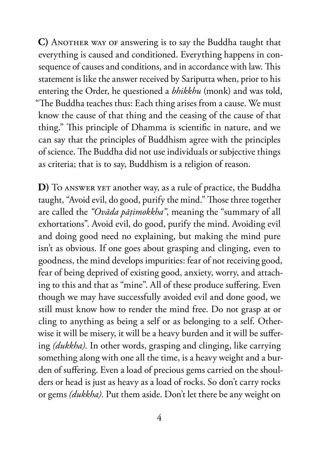**C)** ANOTHER WAY OF answering is to say the Buddha taught that everything is caused and conditioned. Everything happens in consequence of causes and conditions, and in accordance with law. This statement is like the answer received by Sariputta when, prior to his entering the Order, he questioned a *bhikkhu* (monk) and was told, "The Buddha teaches thus: Each thing arises from a cause. We must know the cause of that thing and the ceasing of the cause of that thing." This principle of Dhamma is scientific in nature, and we can say that the principles of Buddhism agree with the principles of science. The Buddha did not use individuals or subjective things as criteria; that is to say, Buddhism is a religion of reason.

**D)** TO ANSWER YET another way, as a rule of practice, the Buddha taught, "Avoid evil, do good, purify the mind." Those three together are called the *"Ovāda pāṭimokkha"*, meaning the "summary of all exhortations". Avoid evil, do good, purify the mind. Avoiding evil and doing good need no explaining, but making the mind pure isn't as obvious. If one goes about grasping and clinging, even to goodness, the mind develops impurities: fear of not receiving good, fear of being deprived of existing good, anxiety, worry, and attaching to this and that as "mine". All of these produce suffering. Even though we may have successfully avoided evil and done good, we still must know how to render the mind free. Do not grasp at or cling to anything as being a self or as belonging to a self. Otherwise it will be misery, it will be a heavy burden and it will be suffering *(dukkha).* In other words, grasping and clinging, like carrying something along with one all the time, is a heavy weight and a burden of suffering. Even a load of precious gems carried on the shoulders or head is just as heavy as a load of rocks. So don't carry rocks or gems *(dukkha).* Put them aside. Don't let there be any weight on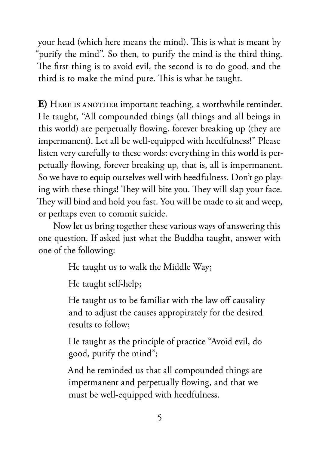your head (which here means the mind). This is what is meant by "purify the mind". So then, to purify the mind is the third thing. The first thing is to avoid evil, the second is to do good, and the third is to make the mind pure. This is what he taught.

**E)** HERE IS ANOTHER important teaching, a worthwhile reminder. He taught, "All compounded things (all things and all beings in this world) are perpetually flowing, forever breaking up (they are impermanent). Let all be well-equipped with heedfulness!" Please listen very carefully to these words: everything in this world is perpetually flowing, forever breaking up, that is, all is impermanent. So we have to equip ourselves well with heedfulness. Don't go playing with these things! They will bite you. They will slap your face. They will bind and hold you fast. You will be made to sit and weep, or perhaps even to commit suicide.

Now let us bring together these various ways of answering this one question. If asked just what the Buddha taught, answer with one of the following:

He taught us to walk the Middle Way;

He taught self-help;

He taught us to be familiar with the law off causality and to adjust the causes appropirately for the desired results to follow;

He taught as the principle of practice "Avoid evil, do good, purify the mind";

And he reminded us that all compounded things are impermanent and perpetually flowing, and that we must be well-equipped with heedfulness.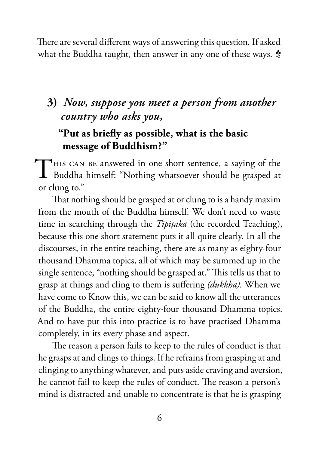<span id="page-19-0"></span>There are several different ways of answering this question. If asked what the Buddha taught, then answer in any one of these ways.  $\ddot{\mathbf{\hat{x}}}$ 

#### **3)** *Now, suppose you meet a person from another country who asks you,*

#### **3) "Put as briefly as possible, what is the basic message of Buddhism?"**

THIS CAN BE answered in one short sentence, a saying of the Buddha himself: "Nothing whatsoever should be grasped at Buddha himself: "Nothing whatsoever should be grasped at or clung to."

That nothing should be grasped at or clung to is a handy maxim from the mouth of the Buddha himself. We don't need to waste time in searching through the *Tipiṭaka* (the recorded Teaching), because this one short statement puts it all quite clearly. In all the discourses, in the entire teaching, there are as many as eighty-four thousand Dhamma topics, all of which may be summed up in the single sentence, "nothing should be grasped at." This tells us that to grasp at things and cling to them is suffering *(dukkha).* When we have come to Know this, we can be said to know all the utterances of the Buddha, the entire eighty-four thousand Dhamma topics. And to have put this into practice is to have practised Dhamma completely, in its every phase and aspect.

The reason a person fails to keep to the rules of conduct is that he grasps at and clings to things. If he refrains from grasping at and clinging to anything whatever, and puts aside craving and aversion, he cannot fail to keep the rules of conduct. The reason a person's mind is distracted and unable to concentrate is that he is grasping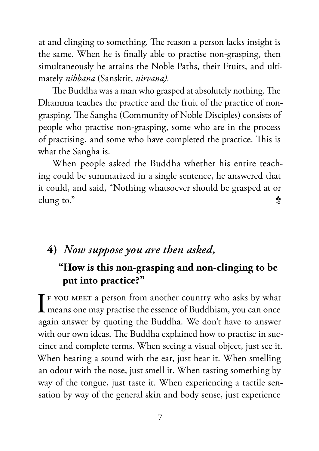<span id="page-20-0"></span>at and clinging to something. The reason a person lacks insight is the same. When he is finally able to practise non-grasping, then simultaneously he attains the Noble Paths, their Fruits, and ultimately *nibbāna* (Sanskrit, *nirvāna).*

The Buddha was a man who grasped at absolutely nothing. The Dhamma teaches the practice and the fruit of the practice of nongrasping. The Sangha (Community of Noble Disciples) consists of people who practise non-grasping, some who are in the process of practising, and some who have completed the practice. This is what the Sangha is.

When people asked the Buddha whether his entire teaching could be summarized in a single sentence, he answered that it could, and said, "Nothing whatsoever should be grasped at or  $\alpha$ "  $\beta$ 

#### **4)** *Now suppose you are then asked,*

#### **4) "How is this non-grasping and non-clinging to be put into practice?"**

I T F YOU MEET a person from another country who asks by what means one may practise the essence of Buddhism, you can once again answer by quoting the Buddha. We don't have to answer with our own ideas. The Buddha explained how to practise in succinct and complete terms. When seeing a visual object, just see it. When hearing a sound with the ear, just hear it. When smelling an odour with the nose, just smell it. When tasting something by way of the tongue, just taste it. When experiencing a tactile sensation by way of the general skin and body sense, just experience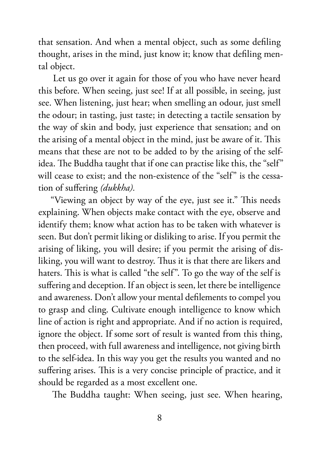that sensation. And when a mental object, such as some defiling thought, arises in the mind, just know it; know that defiling mental object.

Let us go over it again for those of you who have never heard this before. When seeing, just see! If at all possible, in seeing, just see. When listening, just hear; when smelling an odour, just smell the odour; in tasting, just taste; in detecting a tactile sensation by the way of skin and body, just experience that sensation; and on the arising of a mental object in the mind, just be aware of it. This means that these are not to be added to by the arising of the selfidea. The Buddha taught that if one can practise like this, the "self" will cease to exist; and the non-existence of the "self" is the cessation of suffering *(dukkha).*

"Viewing an object by way of the eye, just see it." This needs explaining. When objects make contact with the eye, observe and identify them; know what action has to be taken with whatever is seen. But don't permit liking or disliking to arise. If you permit the arising of liking, you will desire; if you permit the arising of disliking, you will want to destroy. Thus it is that there are likers and haters. This is what is called "the self". To go the way of the self is suffering and deception. If an object is seen, let there be intelligence and awareness. Don't allow your mental defilements to compel you to grasp and cling. Cultivate enough intelligence to know which line of action is right and appropriate. And if no action is required, ignore the object. If some sort of result is wanted from this thing, then proceed, with full awareness and intelligence, not giving birth to the self-idea. In this way you get the results you wanted and no suffering arises. This is a very concise principle of practice, and it should be regarded as a most excellent one.

The Buddha taught: When seeing, just see. When hearing,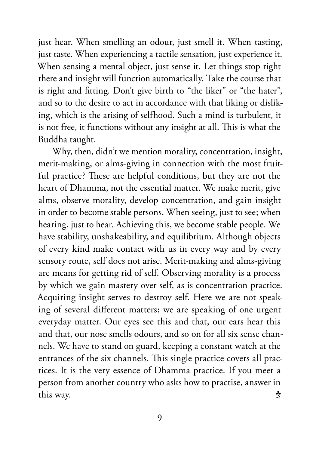just hear. When smelling an odour, just smell it. When tasting, just taste. When experiencing a tactile sensation, just experience it. When sensing a mental object, just sense it. Let things stop right there and insight will function automatically. Take the course that is right and fitting. Don't give birth to "the liker" or "the hater", and so to the desire to act in accordance with that liking or disliking, which is the arising of selfhood. Such a mind is turbulent, it is not free, it functions without any insight at all. This is what the Buddha taught.

Why, then, didn't we mention morality, concentration, insight, merit-making, or alms-giving in connection with the most fruitful practice? These are helpful conditions, but they are not the heart of Dhamma, not the essential matter. We make merit, give alms, observe morality, develop concentration, and gain insight in order to become stable persons. When seeing, just to see; when hearing, just to hear. Achieving this, we become stable people. We have stability, unshakeability, and equilibrium. Although objects of every kind make contact with us in every way and by every sensory route, self does not arise. Merit-making and alms-giving are means for getting rid of self. Observing morality is a process by which we gain mastery over self, as is concentration practice. Acquiring insight serves to destroy self. Here we are not speaking of several different matters; we are speaking of one urgent everyday matter. Our eyes see this and that, our ears hear this and that, our nose smells odours, and so on for all six sense channels. We have to stand on guard, keeping a constant watch at the entrances of the six channels. This single practice covers all practices. It is the very essence of Dhamma practice. If you meet a person from another country who asks how to practise, answer in this way.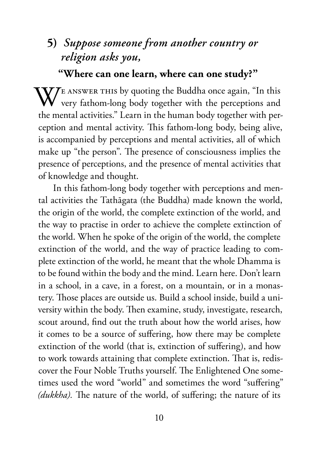#### <span id="page-23-0"></span>**5)** *Suppose someone from another country or religion asks you,*

#### **5) "Where can one learn, where can one study?"**

 $\left(\prod_{i=1}^{n} \mathcal{N}_{i} \mathcal{N}_{i} \right)$  answer this by quoting the Buddha once again, "In this  ${\mathbf W}$  very fathom-long body together with the perceptions and the mental activities." Learn in the human body together with perception and mental activity. This fathom-long body, being alive, is accompanied by perceptions and mental activities, all of which make up "the person". The presence of consciousness implies the presence of perceptions, and the presence of mental activities that of knowledge and thought.

In this fathom-long body together with perceptions and mental activities the Tathāgata (the Buddha) made known the world, the origin of the world, the complete extinction of the world, and the way to practise in order to achieve the complete extinction of the world. When he spoke of the origin of the world, the complete extinction of the world, and the way of practice leading to complete extinction of the world, he meant that the whole Dhamma is to be found within the body and the mind. Learn here. Don't learn in a school, in a cave, in a forest, on a mountain, or in a monastery. Those places are outside us. Build a school inside, build a university within the body. Then examine, study, investigate, research, scout around, find out the truth about how the world arises, how it comes to be a source of suffering, how there may be complete extinction of the world (that is, extinction of suffering), and how to work towards attaining that complete extinction. That is, rediscover the Four Noble Truths yourself. The Enlightened One sometimes used the word "world" and sometimes the word "suffering" *(dukkha).* The nature of the world, of suffering; the nature of its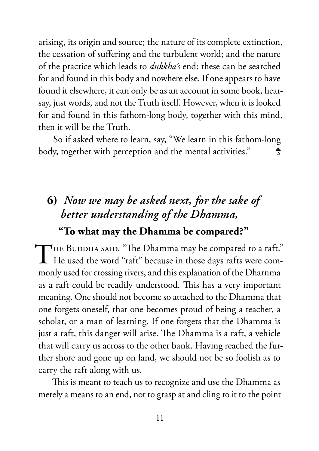<span id="page-24-0"></span>arising, its origin and source; the nature of its complete extinction, the cessation of suffering and the turbulent world; and the nature of the practice which leads to *dukkha's* end: these can be searched for and found in this body and nowhere else. If one appears to have found it elsewhere, it can only be as an account in some book, hearsay, just words, and not the Truth itself. However, when it is looked for and found in this fathom-long body, together with this mind, then it will be the Truth.

So if asked where to learn, say, "We learn in this fathom-long body, together with perception and the mental activities."  $\ddot{\mathbf{\hat{x}}}$ 

## **6)** *Now we may be asked next, for the sake of better understanding of the Dhamma,*

#### **6) "To what may the Dhamma be compared?"**

THE BUDDHA SAID, "The Dhamma may be compared to a raft."<br>He used the word "raft" because in those days rafts were com-He used the word "raft" because in those days rafts were commonly used for crossing rivers, and this explanation of the Dharnma as a raft could be readily understood. This has a very important meaning. One should not become so attached to the Dhamma that one forgets oneself, that one becomes proud of being a teacher, a scholar, or a man of learning. If one forgets that the Dhamma is just a raft, this danger will arise. The Dhamma is a raft, a vehicle that will carry us across to the other bank. Having reached the further shore and gone up on land, we should not be so foolish as to carry the raft along with us.

This is meant to teach us to recognize and use the Dhamma as merely a means to an end, not to grasp at and cling to it to the point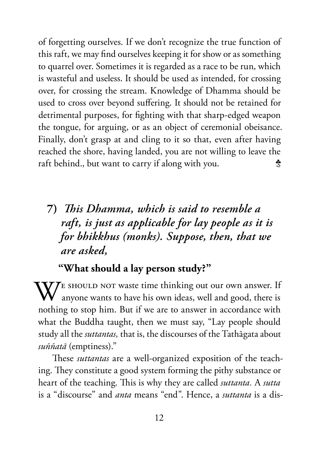<span id="page-25-0"></span>of forgetting ourselves. If we don't recognize the true function of this raft, we may find ourselves keeping it for show or as something to quarrel over. Sometimes it is regarded as a race to be run, which is wasteful and useless. It should be used as intended, for crossing over, for crossing the stream. Knowledge of Dhamma should be used to cross over beyond suffering. It should not be retained for detrimental purposes, for fighting with that sharp-edged weapon the tongue, for arguing, or as an object of ceremonial obeisance. Finally, don't grasp at and cling to it so that, even after having reached the shore, having landed, you are not willing to leave the raft behind., but want to carry if along with you.  $\ddot{\mathcal{F}}$ 

### **7)** *This Dhamma, which is said to resemble a raft, is just as applicable for lay people as it is for bhikkhus (monks). Suppose, then, that we are asked,*

#### **7) "What should a lay person study?"**

 $\mathcal{J}\mathcal{J}$ E SHOULD NOT waste time thinking out our own answer. If anyone wants to have his own ideas, well and good, there is nothing to stop him. But if we are to answer in accordance with what the Buddha taught, then we must say, "Lay people should study all the *suttantas,* that is, the discourses of the Tathāgata about *suññatā* (emptiness)."

These *suttantas* are a well-organized exposition of the teaching. They constitute a good system forming the pithy substance or heart of the teaching. This is why they are called *suttanta.* A *sutta*  is a "discourse" and *anta* means "end". Hence, a *suttanta* is a dis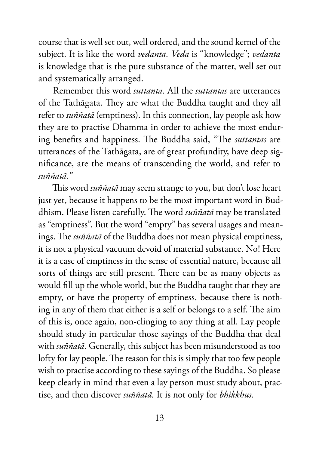course that is well set out, well ordered, and the sound kernel of the subject. It is like the word *vedanta. Veda* is "knowledge"; *vedanta*  is knowledge that is the pure substance of the matter, well set out and systematically arranged.

Remember this word *suttanta.* All the *suttantas* are utterances of the Tathāgata. They are what the Buddha taught and they all refer to *suññatā* (emptiness). In this connection, lay people ask how they are to practise Dhamma in order to achieve the most enduring benefits and happiness. The Buddha said, "The *suttantas* are utterances of the Tathāgata, are of great profundity, have deep significance, are the means of transcending the world, and refer to *suññatā."*

This word *suññatā* may seem strange to you, but don't lose heart just yet, because it happens to be the most important word in Buddhism. Please listen carefully. The word *suññatā* may be translated as "emptiness". But the word "empty" has several usages and meanings. The *suññatā* of the Buddha does not mean physical emptiness, it is not a physical vacuum devoid of material substance. No! Here it is a case of emptiness in the sense of essential nature, because all sorts of things are still present. There can be as many objects as would fill up the whole world, but the Buddha taught that they are empty, or have the property of emptiness, because there is nothing in any of them that either is a self or belongs to a self. The aim of this is, once again, non-clinging to any thing at all. Lay people should study in particular those sayings of the Buddha that deal with *suññatā.* Generally, this subject has been misunderstood as too lofty for lay people. The reason for this is simply that too few people wish to practise according to these sayings of the Buddha. So please keep clearly in mind that even a lay person must study about, practise, and then discover *suññatā.* It is not only for *bhikkhus.*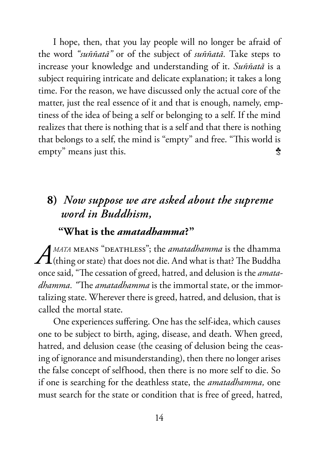<span id="page-27-0"></span>I hope, then, that you lay people will no longer be afraid of the word *"suññatā"* or of the subject of *suññatā.* Take steps to increase your knowledge and understanding of it. *Suññatā* is a subject requiring intricate and delicate explanation; it takes a long time. For the reason, we have discussed only the actual core of the matter, just the real essence of it and that is enough, namely, emptiness of the idea of being a self or belonging to a self. If the mind realizes that there is nothing that is a self and that there is nothing that belongs to a self, the mind is "empty" and free. "This world is empty" means just this.  $\frac{1}{3}$ 

#### **8)** *Now suppose we are asked about the supreme word in Buddhism,*

#### **8) "What is the** *amatadhamma***?"**

*AMATA* MEANS "DEATHLESS"; the *amatadhamma* is the dhamma<br>(thing or state) that does not die. And what is that? The Buddha (thing or state) that does not die. And what is that? The Buddha once said, "The cessation of greed, hatred, and delusion is the *amatadhamma. "*The *amatadhamma* is the immortal state, or the immortalizing state. Wherever there is greed, hatred, and delusion, that is called the mortal state.

One experiences suffering. One has the self-idea, which causes one to be subject to birth, aging, disease, and death. When greed, hatred, and delusion cease (the ceasing of delusion being the ceasing of ignorance and misunderstanding), then there no longer arises the false concept of selfhood, then there is no more self to die. So if one is searching for the deathless state, the *amatadhamma,* one must search for the state or condition that is free of greed, hatred,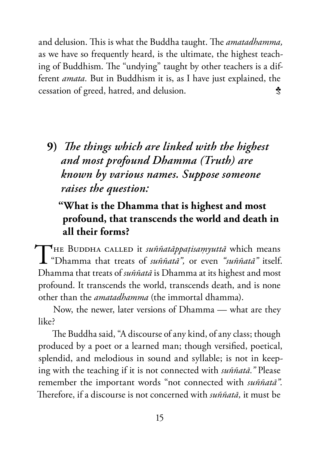<span id="page-28-0"></span>and delusion. This is what the Buddha taught. The *amatadhamma,*  as we have so frequently heard, is the ultimate, the highest teaching of Buddhism. The "undying" taught by other teachers is a different *amata.* But in Buddhism it is, as I have just explained, the cessation of greed, hatred, and delusion.

**9)** *The things which are linked with the highest and most profound Dhamma (Truth) are known by various names. Suppose someone raises the question:*

#### **9) "What is the Dhamma that is highest and most profound, that transcends the world and death in all their forms?**

THE BUDDHA CALLED it *suññatāppaṭisaṃyuttā* which means<br>"Dhamma that treats of *suññatā"*, or even "suññatā" itself. "Dhamma that treats of *suññatā",* or even *"suññatā"* itself. Dhamma that treats of *suññatā* is Dhamma at its highest and most profound. It transcends the world, transcends death, and is none other than the *amatadhamma* (the immortal dhamma).

Now, the newer, later versions of Dhamma — what are they like?

The Buddha said, "A discourse of any kind, of any class; though produced by a poet or a learned man; though versified, poetical, splendid, and melodious in sound and syllable; is not in keeping with the teaching if it is not connected with *suññatā."* Please remember the important words "not connected with *suññatā".*  Therefore, if a discourse is not concerned with *suññatā,* it must be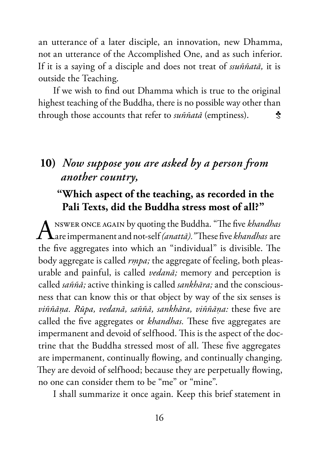<span id="page-29-0"></span>an utterance of a later disciple, an innovation, new Dhamma, not an utterance of the Accomplished One, and as such inferior. If it is a saying of a disciple and does not treat of *ssuññatā,* it is outside the Teaching.

If we wish to find out Dhamma which is true to the original highest teaching of the Buddha, there is no possible way other than through those accounts that refer to *suññatā* (emptiness).  $\ddot{\mathbf{\hat{x}}}$ 

#### **10)** *Now suppose you are asked by a person from another country,*

#### "Which aspect of the teaching, as recorded in the **Pali Texts, did the Buddha stress most of all?"**

ANSWER ONCE AGAIN by quoting the Buddha. "The five *khandhas* are impermanent and not-self *(anattā)."* These five *khandhas* are the five aggregates into which an "individual" is divisible. The body aggregate is called *rṃpa;* the aggregate of feeling, both pleasurable and painful, is called *vedanā;* memory and perception is called *saññā;* active thinking is called *sankhāra;* and the consciousness that can know this or that object by way of the six senses is *viññāṇa. Rūpa, vedanā, saññā, sankhāra, viññāṇa:* these five are called the five aggregates or *khandhas.* These five aggregates are impermanent and devoid of selfhood. This is the aspect of the doctrine that the Buddha stressed most of all. These five aggregates are impermanent, continually flowing, and continually changing. They are devoid of selfhood; because they are perpetually flowing, no one can consider them to be "me" or "mine".

I shall summarize it once again. Keep this brief statement in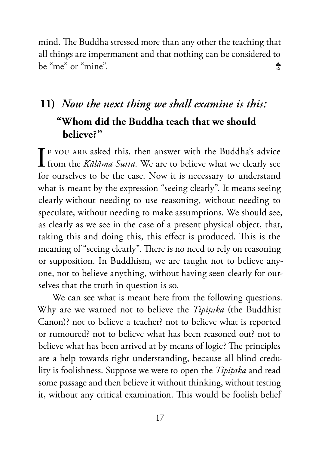<span id="page-30-0"></span>mind. The Buddha stressed more than any other the teaching that all things are impermanent and that nothing can be considered to be "me" or "mine".

## **11)** *Now the next thing we shall examine is this:* **11) "Whom did the Buddha teach that we should believe?"**

I F YOU ARE asked this, then answer with the Buddha's advice<br>from the Kālāma Sutta. We are to believe what we clearly see from the *Kālāma Sutta.* We are to believe what we clearly see for ourselves to be the case. Now it is necessary to understand what is meant by the expression "seeing clearly". It means seeing clearly without needing to use reasoning, without needing to speculate, without needing to make assumptions. We should see, as clearly as we see in the case of a present physical object, that, taking this and doing this, this effect is produced. This is the meaning of "seeing clearly". There is no need to rely on reasoning or supposition. In Buddhism, we are taught not to believe anyone, not to believe anything, without having seen clearly for ourselves that the truth in question is so.

We can see what is meant here from the following questions. Why are we warned not to believe the *Tipiṭaka* (the Buddhist Canon)? not to believe a teacher? not to believe what is reported or rumoured? not to believe what has been reasoned out? not to believe what has been arrived at by means of logic? The principles are a help towards right understanding, because all blind credulity is foolishness. Suppose we were to open the *Tipiṭaka* and read some passage and then believe it without thinking, without testing it, without any critical examination. This would be foolish belief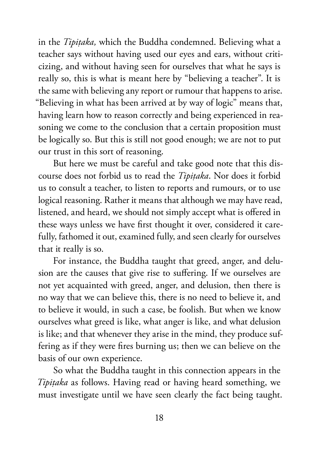in the *Tipiṭaka,* which the Buddha condemned. Believing what a teacher says without having used our eyes and ears, without criticizing, and without having seen for ourselves that what he says is really so, this is what is meant here by "believing a teacher". It is the same with believing any report or rumour that happens to arise. "Believing in what has been arrived at by way of logic" means that, having learn how to reason correctly and being experienced in reasoning we come to the conclusion that a certain proposition must be logically so. But this is still not good enough; we are not to put our trust in this sort of reasoning.

But here we must be careful and take good note that this discourse does not forbid us to read the *Tipiṭaka*. Nor does it forbid us to consult a teacher, to listen to reports and rumours, or to use logical reasoning. Rather it means that although we may have read, listened, and heard, we should not simply accept what is offered in these ways unless we have first thought it over, considered it carefully, fathomed it out, examined fully, and seen clearly for ourselves that it really is so.

For instance, the Buddha taught that greed, anger, and delusion are the causes that give rise to suffering. If we ourselves are not yet acquainted with greed, anger, and delusion, then there is no way that we can believe this, there is no need to believe it, and to believe it would, in such a case, be foolish. But when we know ourselves what greed is like, what anger is like, and what delusion is like; and that whenever they arise in the mind, they produce suffering as if they were fires burning us; then we can believe on the basis of our own experience.

So what the Buddha taught in this connection appears in the *Tipiṭaka* as follows. Having read or having heard something, we must investigate until we have seen clearly the fact being taught.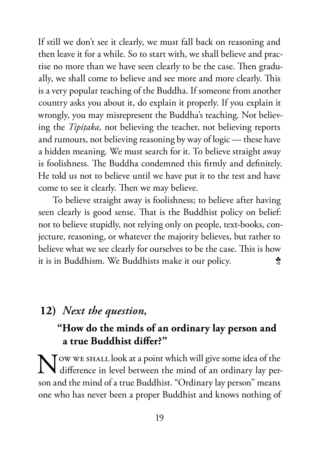<span id="page-32-0"></span>If still we don't see it clearly, we must fall back on reasoning and then leave it for a while. So to start with, we shall believe and practise no more than we have seen clearly to be the case. Then gradually, we shall come to believe and see more and more clearly. This is a very popular teaching of the Buddha. If someone from another country asks you about it, do explain it properly. If you explain it wrongly, you may misrepresent the Buddha's teaching. Not believing the *Tipiṭaka,* not believing the teacher, not believing reports and rumours, not believing reasoning by way of logic — these have a hidden meaning. We must search for it. To believe straight away is foolishness. The Buddha condemned this firmly and definitely. He told us not to believe until we have put it to the test and have come to see it clearly. Then we may believe.

To believe straight away is foolishness; to believe after having seen clearly is good sense. That is the Buddhist policy on belief: not to believe stupidly, not relying only on people, text-books, conjecture, reasoning, or whatever the majority believes, but rather to believe what we see clearly for ourselves to be the case. This is how it is in Buddhism. We Buddhists make it our policy.

#### **12)** *Next the question,*

#### **12) "How do the minds of an ordinary lay person and a true Buddhist differ?"**

NOW WE SHALL look at a point which will give some idea of the<br>difference in level between the mind of an ordinary lay perdifference in level between the mind of an ordinary lay person and the mind of a true Buddhist. "Ordinary lay person" means one who has never been a proper Buddhist and knows nothing of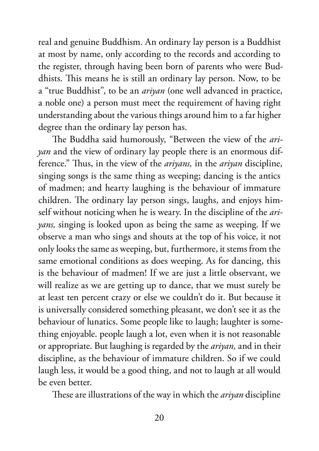real and genuine Buddhism. An ordinary lay person is a Buddhist at most by name, only according to the records and according to the register, through having been born of parents who were Buddhists. This means he is still an ordinary lay person. Now, to be a "true Buddhist", to be an *ariyan* (one well advanced in practice, a noble one) a person must meet the requirement of having right understanding about the various things around him to a far higher degree than the ordinary lay person has.

The Buddha said humorously, "Between the view of the *ariyan* and the view of ordinary lay people there is an enormous difference." Thus, in the view of the *ariyans,* in the *ariyan* discipline, singing songs is the same thing as weeping; dancing is the antics of madmen; and hearty laughing is the behaviour of immature children. The ordinary lay person sings, laughs, and enjoys himself without noticing when he is weary. In the discipline of the *ariyans,* singing is looked upon as being the same as weeping. If we observe a man who sings and shouts at the top of his voice, it not only looks the same as weeping, but, furthermore, it stems from the same emotional conditions as does weeping. As for dancing, this is the behaviour of madmen! If we are just a little observant, we will realize as we are getting up to dance, that we must surely be at least ten percent crazy or else we couldn't do it. But because it is universally considered something pleasant, we don't see it as the behaviour of lunatics. Some people like to laugh; laughter is something enjoyable. people laugh a lot, even when it is not reasonable or appropriate. But laughing is regarded by the *ariyan,* and in their discipline, as the behaviour of immature children. So if we could laugh less, it would be a good thing, and not to laugh at all would be even better.

These are illustrations of the way in which the *ariyan* discipline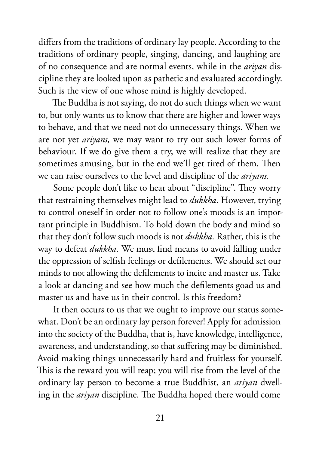differs from the traditions of ordinary lay people. According to the traditions of ordinary people, singing, dancing, and laughing are of no consequence and are normal events, while in the *ariyan* discipline they are looked upon as pathetic and evaluated accordingly. Such is the view of one whose mind is highly developed.

The Buddha is not saying, do not do such things when we want to, but only wants us to know that there are higher and lower ways to behave, and that we need not do unnecessary things. When we are not yet *ariyans,* we may want to try out such lower forms of behaviour. If we do give them a try, we will realize that they are sometimes amusing, but in the end we'll get tired of them. Then we can raise ourselves to the level and discipline of the *ariyans.*

Some people don't like to hear about "discipline". They worry that restraining themselves might lead to *dukkha.* However, trying to control oneself in order not to follow one's moods is an important principle in Buddhism. To hold down the body and mind so that they don't follow such moods is not *dukkha.* Rather, this is the way to defeat *dukkha.* We must find means to avoid falling under the oppression of selfish feelings or defilements. We should set our minds to not allowing the defilements to incite and master us. Take a look at dancing and see how much the defilements goad us and master us and have us in their control. Is this freedom?

It then occurs to us that we ought to improve our status somewhat. Don't be an ordinary lay person forever! Apply for admission into the society of the Buddha, that is, have knowledge, intelligence, awareness, and understanding, so that suffering may be diminished. Avoid making things unnecessarily hard and fruitless for yourself. This is the reward you will reap; you will rise from the level of the ordinary lay person to become a true Buddhist, an *ariyan* dwelling in the *ariyan* discipline. The Buddha hoped there would come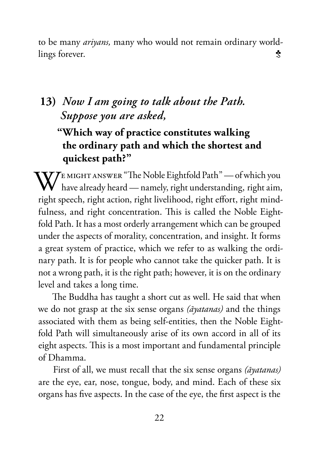<span id="page-35-0"></span>to be many *ariyans,* many who would not remain ordinary worldlings forever.

#### **13)** *Now I am going to talk about the Path. Suppose you are asked,*

#### **13) "Which way of practice constitutes walking the ordinary path and which the shortest and quickest path?"**

WE MIGHT ANSWER "The Noble Eightfold Path" — of which you have already heard — namely, right understanding, right aim, right speech, right action, right livelihood, right effort, right mindfulness, and right concentration. This is called the Noble Eightfold Path. It has a most orderly arrangement which can be grouped under the aspects of morality, concentration, and insight. It forms a great system of practice, which we refer to as walking the ordinary path. It is for people who cannot take the quicker path. It is not a wrong path, it is the right path; however, it is on the ordinary level and takes a long time.

The Buddha has taught a short cut as well. He said that when we do not grasp at the six sense organs *(āyatanas)* and the things associated with them as being self-entities, then the Noble Eightfold Path will simultaneously arise of its own accord in all of its eight aspects. This is a most important and fundamental principle of Dhamma.

First of all, we must recall that the six sense organs *(āyatanas)*  are the eye, ear, nose, tongue, body, and mind. Each of these six organs has five aspects. In the case of the eye, the first aspect is the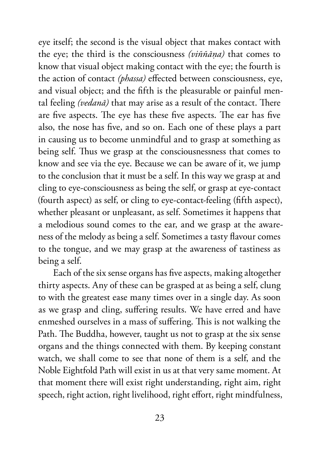eye itself; the second is the visual object that makes contact with the eye; the third is the consciousness *(viññāṇa)* that comes to know that visual object making contact with the eye; the fourth is the action of contact *(phassa)* effected between consciousness, eye, and visual object; and the fifth is the pleasurable or painful mental feeling *(vedanā)* that may arise as a result of the contact. There are five aspects. The eye has these five aspects. The ear has five also, the nose has five, and so on. Each one of these plays a part in causing us to become unmindful and to grasp at something as being self. Thus we grasp at the consciousnessness that comes to know and see via the eye. Because we can be aware of it, we jump to the conclusion that it must be a self. In this way we grasp at and cling to eye-consciousness as being the self, or grasp at eye-contact (fourth aspect) as self, or cling to eye-contact-feeling (fifth aspect), whether pleasant or unpleasant, as self. Sometimes it happens that a melodious sound comes to the ear, and we grasp at the awareness of the melody as being a self. Sometimes a tasty flavour comes to the tongue, and we may grasp at the awareness of tastiness as being a self.

Each of the six sense organs has five aspects, making altogether thirty aspects. Any of these can be grasped at as being a self, clung to with the greatest ease many times over in a single day. As soon as we grasp and cling, suffering results. We have erred and have enmeshed ourselves in a mass of suffering. This is not walking the Path. The Buddha, however, taught us not to grasp at the six sense organs and the things connected with them. By keeping constant watch, we shall come to see that none of them is a self, and the Noble Eightfold Path will exist in us at that very same moment. At that moment there will exist right understanding, right aim, right speech, right action, right livelihood, right effort, right mindfulness,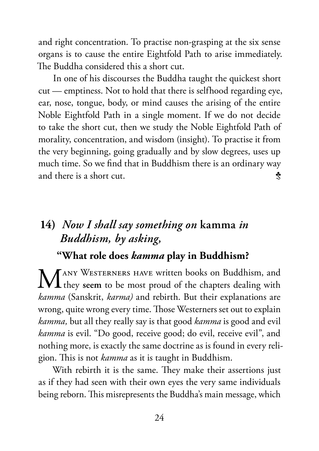and right concentration. To practise non-grasping at the six sense organs is to cause the entire Eightfold Path to arise immediately. The Buddha considered this a short cut.

In one of his discourses the Buddha taught the quickest short cut — emptiness. Not to hold that there is selfhood regarding eye, ear, nose, tongue, body, or mind causes the arising of the entire Noble Eightfold Path in a single moment. If we do not decide to take the short cut, then we study the Noble Eightfold Path of morality, concentration, and wisdom (insight). To practise it from the very beginning, going gradually and by slow degrees, uses up much time. So we find that in Buddhism there is an ordinary way and there is a short cut.

## **14)** *Now I shall say something on* **kamma** *in Buddhism, by asking,*

#### **14) "What role does** *kamma* **play in Buddhism?**

MANY WESTERNERS HAVE written books on Buddhism, and<br>
they seem to be most proud of the chapters dealing with they **seem** to be most proud of the chapters dealing with *kamma* (Sanskrit, *karma)* and rebirth. But their explanations are wrong, quite wrong every time. Those Westerners set out to explain *kamma,* but all they really say is that good *kamma* is good and evil *kamma* is evil. "Do good, receive good; do evil, receive evil", and nothing more, is exactly the same doctrine as is found in every religion. This is not *kamma* as it is taught in Buddhism.

With rebirth it is the same. They make their assertions just as if they had seen with their own eyes the very same individuals being reborn. This misrepresents the Buddha's main message, which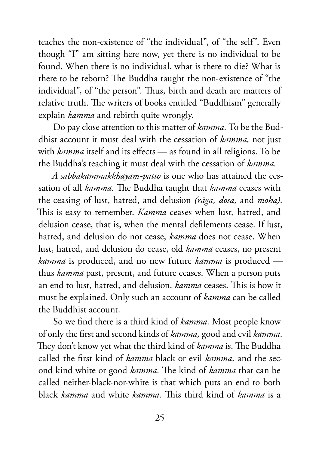teaches the non-existence of "the individual", of "the self". Even though "I" am sitting here now, yet there is no individual to be found. When there is no individual, what is there to die? What is there to be reborn? The Buddha taught the non-existence of "the individual", of "the person". Thus, birth and death are matters of relative truth. The writers of books entitled "Buddhism" generally explain *kamma* and rebirth quite wrongly.

Do pay close attention to this matter of *kamma.* To be the Buddhist account it must deal with the cessation of *kamma,* not just with *kamma* itself and its effects — as found in all religions. To be the Buddha's teaching it must deal with the cessation of *kamma.*

*A sabbakammakkhayaṃ-patto* is one who has attained the cessation of all *kamma.* The Buddha taught that *kamma* ceases with the ceasing of lust, hatred, and delusion *(rāga, dosa,* and *moha).*  This is easy to remember. *Kamma* ceases when lust, hatred, and delusion cease, that is, when the mental defilements cease. If lust, hatred, and delusion do not cease, *kamma* does not cease. When lust, hatred, and delusion do cease, old *kamma* ceases, no present *kamma* is produced, and no new future *kamma* is produced thus *kamma* past, present, and future ceases. When a person puts an end to lust, hatred, and delusion, *kamma* ceases. This is how it must be explained. Only such an account of *kamma* can be called the Buddhist account.

So we find there is a third kind of *kamma.* Most people know of only the first and second kinds of *kamma,* good and evil *kamma.*  They don't know yet what the third kind of *kamma* is. The Buddha called the first kind of *kamma* black or evil *kamma,* and the second kind white or good *kamma.* The kind of *kamma* that can be called neither-black-nor-white is that which puts an end to both black *kamma* and white *kamma.* This third kind of *kamma* is a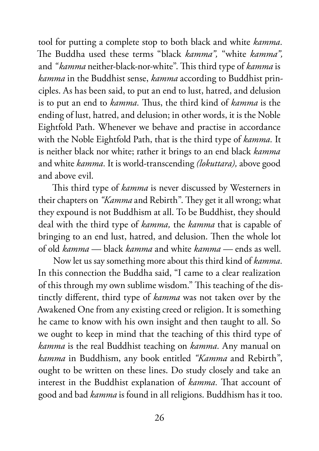tool for putting a complete stop to both black and white *kamma.*  The Buddha used these terms "black *kamma",* "white *kamma",*  and *"kamma* neither-black-nor-white". This third type of *kamma* is *kamma* in the Buddhist sense, *kamma* according to Buddhist principles. As has been said, to put an end to lust, hatred, and delusion is to put an end to *kamma.* Thus, the third kind of *kamma* is the ending of lust, hatred, and delusion; in other words, it is the Noble Eightfold Path. Whenever we behave and practise in accordance with the Noble Eightfold Path, that is the third type of *kamma.* It is neither black nor white; rather it brings to an end black *kamma*  and white *kamma.* It is world-transcending *(lokuttara),* above good and above evil.

This third type of *kamma* is never discussed by Westerners in their chapters on *"Kamma* and Rebirth". They get it all wrong; what they expound is not Buddhism at all. To be Buddhist, they should deal with the third type of *kamma,* the *kamma* that is capable of bringing to an end lust, hatred, and delusion. Then the whole lot of old *kamma —* black *kamma* and white *kamma —* ends as well.

Now let us say something more about this third kind of *kamma.*  In this connection the Buddha said, "I came to a clear realization of this through my own sublime wisdom." This teaching of the distinctly different, third type of *kamma* was not taken over by the Awakened One from any existing creed or religion. It is something he came to know with his own insight and then taught to all. So we ought to keep in mind that the teaching of this third type of *kamma* is the real Buddhist teaching on *kamma.* Any manual on *kamma* in Buddhism, any book entitled *"Kamma* and Rebirth", ought to be written on these lines. Do study closely and take an interest in the Buddhist explanation of *kamma.* That account of good and bad *kamma* is found in all religions. Buddhism has it too.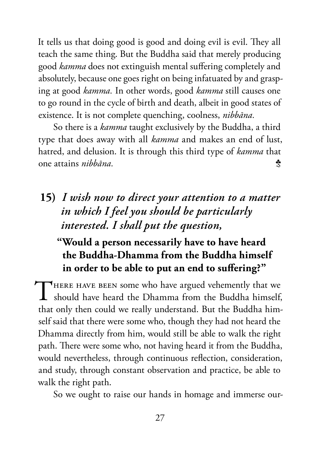It tells us that doing good is good and doing evil is evil. They all teach the same thing. But the Buddha said that merely producing good *kamma* does not extinguish mental suffering completely and absolutely, because one goes right on being infatuated by and grasping at good *kamma.* In other words, good *kamma* still causes one to go round in the cycle of birth and death, albeit in good states of existence. It is not complete quenching, coolness, *nibbāna.*

So there is a *kamma* taught exclusively by the Buddha, a third type that does away with all *kamma* and makes an end of lust, hatred, and delusion. It is through this third type of *kamma* that one attains *nibbāna*.

**15)** *I wish now to direct your attention to a matter in which I feel you should be particularly interested. I shall put the question,*

### **15) "Would a person necessarily have to have heard the Buddha-Dhamma from the Buddha himself in order to be able to put an end to suffering?"**

THERE HAVE BEEN some who have argued vehemently that we should have heard the Dhamma from the Buddha himself, that only then could we really understand. But the Buddha himself said that there were some who, though they had not heard the Dhamma directly from him, would still be able to walk the right path. There were some who, not having heard it from the Buddha, would nevertheless, through continuous reflection, consideration, and study, through constant observation and practice, be able to walk the right path.

So we ought to raise our hands in homage and immerse our-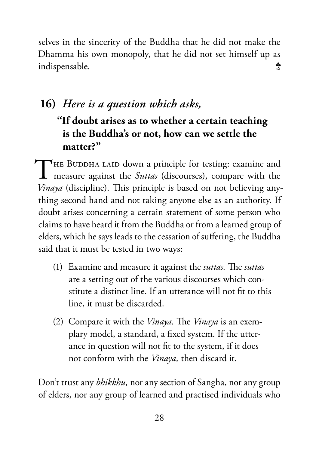selves in the sincerity of the Buddha that he did not make the Dhamma his own monopoly, that he did not set himself up as indispensable.

## **16)** *Here is a question which asks,*

### **16) "If doubt arises as to whether a certain teaching is the Buddha's or not, how can we settle the matter?"**

THE BUDDHA LAID down a principle for testing: examine and<br>measure against the *Suttas* (discourses), compare with the measure against the *Suttas* (discourses), compare with the *Vinaya* (discipline). This principle is based on not believing anything second hand and not taking anyone else as an authority. If doubt arises concerning a certain statement of some person who claims to have heard it from the Buddha or from a learned group of elders, which he says leads to the cessation of suffering, the Buddha said that it must be tested in two ways:

- (1) Examine and measure it against the *suttas.* The *suttas* are a setting out of the various discourses which constitute a distinct line. If an utterance will not fit to this line, it must be discarded.
- (2) Compare it with the *Vinaya.* The *Vinaya* is an exemplary model, a standard, a fixed system. If the utterance in question will not fit to the system, if it does not conform with the *Vinaya,* then discard it.

Don't trust any *bhikkhu,* nor any section of Sangha, nor any group of elders, nor any group of learned and practised individuals who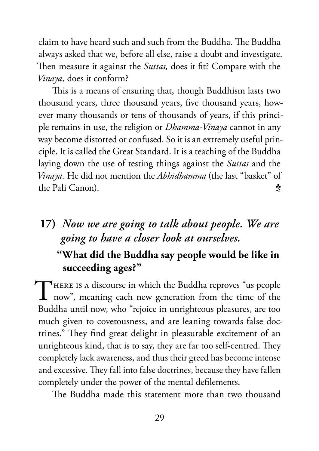claim to have heard such and such from the Buddha. The Buddha always asked that we, before all else, raise a doubt and investigate. Then measure it against the *Suttas,* does it fit? Compare with the *Vinaya,* does it conform?

This is a means of ensuring that, though Buddhism lasts two thousand years, three thousand years, five thousand years, however many thousands or tens of thousands of years, if this principle remains in use, the religion or *Dhamma-Vinaya* cannot in any way become distorted or confused. So it is an extremely useful principle. It is called the Great Standard. It is a teaching of the Buddha laying down the use of testing things against the *Suttas* and the *Vinaya.* He did not mention the *Abhidhamma* (the last "basket" of the Pali Canon).

# **17)** *Now we are going to talk about people. We are going to have a closer look at ourselves.* **17) "What did the Buddha say people would be like in**

**succeeding ages?"**

THERE IS A discourse in which the Buddha reproves "us people<br>now", meaning each new generation from the time of the now", meaning each new generation from the time of the Buddha until now, who "rejoice in unrighteous pleasures, are too much given to covetousness, and are leaning towards false doctrines." They find great delight in pleasurable excitement of an unrighteous kind, that is to say, they are far too self-centred. They completely lack awareness, and thus their greed has become intense and excessive. They fall into false doctrines, because they have fallen completely under the power of the mental defilements.

The Buddha made this statement more than two thousand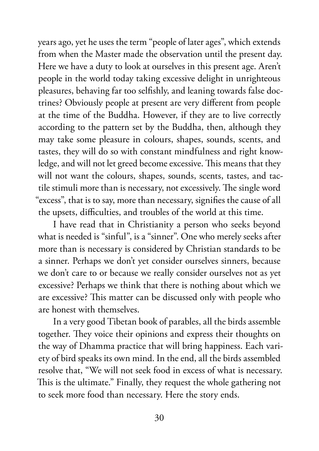years ago, yet he uses the term "people of later ages", which extends from when the Master made the observation until the present day. Here we have a duty to look at ourselves in this present age. Aren't people in the world today taking excessive delight in unrighteous pleasures, behaving far too selfishly, and leaning towards false doctrines? Obviously people at present are very different from people at the time of the Buddha. However, if they are to live correctly according to the pattern set by the Buddha, then, although they may take some pleasure in colours, shapes, sounds, scents, and tastes, they will do so with constant mindfulness and right knowledge, and will not let greed become excessive. This means that they will not want the colours, shapes, sounds, scents, tastes, and tactile stimuli more than is necessary, not excessively. The single word "excess", that is to say, more than necessary, signifies the cause of all the upsets, difficulties, and troubles of the world at this time.

I have read that in Christianity a person who seeks beyond what is needed is "sinful", is a "sinner". One who merely seeks after more than is necessary is considered by Christian standards to be a sinner. Perhaps we don't yet consider ourselves sinners, because we don't care to or because we really consider ourselves not as yet excessive? Perhaps we think that there is nothing about which we are excessive? This matter can be discussed only with people who are honest with themselves.

In a very good Tibetan book of parables, all the birds assemble together. They voice their opinions and express their thoughts on the way of Dhamma practice that will bring happiness. Each variety of bird speaks its own mind. In the end, all the birds assembled resolve that, "We will not seek food in excess of what is necessary. This is the ultimate." Finally, they request the whole gathering not to seek more food than necessary. Here the story ends.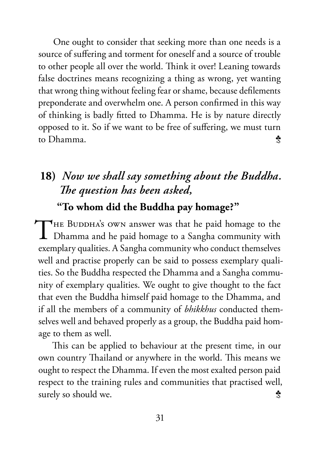One ought to consider that seeking more than one needs is a source of suffering and torment for oneself and a source of trouble to other people all over the world. Think it over! Leaning towards false doctrines means recognizing a thing as wrong, yet wanting that wrong thing without feeling fear or shame, because defilements preponderate and overwhelm one. A person confirmed in this way of thinking is badly fitted to Dhamma. He is by nature directly opposed to it. So if we want to be free of suffering, we must turn to Dhamma.

## **18)** *Now we shall say something about the Buddha. The question has been asked,*

#### **18) "To whom did the Buddha pay homage?"**

THE BUDDHA's OWN answer was that he paid homage to the<br>Dhamma and he paid homage to a Sangha community with Dhamma and he paid homage to a Sangha community with exemplary qualities. A Sangha community who conduct themselves well and practise properly can be said to possess exemplary qualities. So the Buddha respected the Dhamma and a Sangha community of exemplary qualities. We ought to give thought to the fact that even the Buddha himself paid homage to the Dhamma, and if all the members of a community of *bhikkhus* conducted themselves well and behaved properly as a group, the Buddha paid homage to them as well.

This can be applied to behaviour at the present time, in our own country Thailand or anywhere in the world. This means we ought to respect the Dhamma. If even the most exalted person paid respect to the training rules and communities that practised well, surely so should we.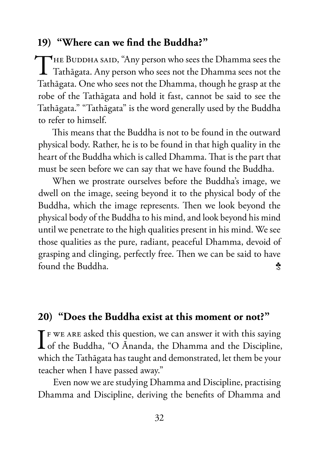#### **19) "Where can we find the Buddha?"**

THE BUDDHA SAID, "Any person who sees the Dhamma sees the Tathāgata. Any person who sees not the Dhamma sees not the Tathāgata. Any person who sees not the Dhamma sees not the Tathāgata. One who sees not the Dhamma, though he grasp at the robe of the Tathāgata and hold it fast, cannot be said to see the Tathāgata." "Tathāgata" is the word generally used by the Buddha to refer to himself.

This means that the Buddha is not to be found in the outward physical body. Rather, he is to be found in that high quality in the heart of the Buddha which is called Dhamma. That is the part that must be seen before we can say that we have found the Buddha.

When we prostrate ourselves before the Buddha's image, we dwell on the image, seeing beyond it to the physical body of the Buddha, which the image represents. Then we look beyond the physical body of the Buddha to his mind, and look beyond his mind until we penetrate to the high qualities present in his mind. We see those qualities as the pure, radiant, peaceful Dhamma, devoid of grasping and clinging, perfectly free. Then we can be said to have found the Buddha.

#### **20) "Does the Buddha exist at this moment or not?"**

I TF WE ARE asked this question, we can answer it with this saying of the Buddha, "O Ānanda, the Dhamma and the Discipline, which the Tathāgata has taught and demonstrated, let them be your teacher when I have passed away."

Even now we are studying Dhamma and Discipline, practising Dhamma and Discipline, deriving the benefits of Dhamma and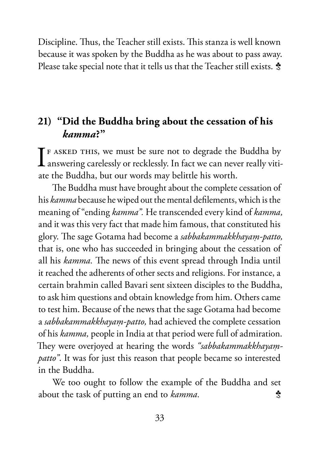Discipline. Thus, the Teacher still exists. This stanza is well known because it was spoken by the Buddha as he was about to pass away. Please take special note that it tells us that the Teacher still exists.  $\ddot{\mathbf{\hat{x}}}$ 

### **21) "Did the Buddha bring about the cessation of his**  *kamma***?"**

I F ASKED THIS, we must be sure not to degrade the Buddha by<br>answering carelessly or recklessly. In fact we can never really vitianswering carelessly or recklessly. In fact we can never really vitiate the Buddha, but our words may belittle his worth.

The Buddha must have brought about the complete cessation of his *kamma* because he wiped out the mental defilements, which is the meaning of "ending *kamma".* He transcended every kind of *kamma,*  and it was this very fact that made him famous, that constituted his glory. The sage Gotama had become a *sabbakammakkhayaṃ-patto,*  that is, one who has succeeded in bringing about the cessation of all his *kamma.* The news of this event spread through India until it reached the adherents of other sects and religions. For instance, a certain brahmin called Bavari sent sixteen disciples to the Buddha, to ask him questions and obtain knowledge from him. Others came to test him. Because of the news that the sage Gotama had become a *sabbakammakkhayaṃ-patto,* had achieved the complete cessation of his *kamma,* people in India at that period were full of admiration. They were overjoyed at hearing the words *"sabbakammakkhayaṃpatto"*. It was for just this reason that people became so interested in the Buddha.

We too ought to follow the example of the Buddha and set about the task of putting an end to *kamma*.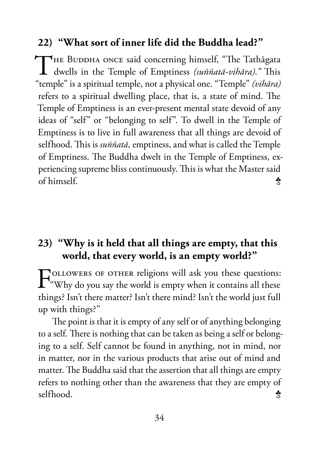#### **22) "What sort of inner life did the Buddha lead?"**

THE BUDDHA ONCE said concerning himself, "The Tathāgata"<br>dwells in the Temple of Emptiness *(suññatā-vihāra)*." This dwells in the Temple of Emptiness *(suññatā-vihāra)."* This "temple" is a spiritual temple, not a physical one. "Temple" *(vihāra)*  refers to a spiritual dwelling place, that is, a state of mind. The Temple of Emptiness is an ever-present mental state devoid of any ideas of "self" or "belonging to self". To dwell in the Temple of Emptiness is to live in full awareness that all things are devoid of selfhood. This is *suññatā,* emptiness, and what is called the Temple of Emptiness. The Buddha dwelt in the Temple of Emptiness, experiencing supreme bliss continuously. This is what the Master said of himself.  $\mathcal{S}$ 

### **23) "Why is it held that all things are empty, that this world, that every world, is an empty world?"**

 $\Gamma$ <sup>a</sup>Why do you say the world is empty when it contains all these "Why do you say the world is empty when it contains all these things? Isn't there matter? Isn't there mind? Isn't the world just full up with things?"

The point is that it is empty of any self or of anything belonging to a self. There is nothing that can be taken as being a self or belonging to a self. Self cannot be found in anything, not in mind, nor in matter, nor in the various products that arise out of mind and matter. The Buddha said that the assertion that all things are empty refers to nothing other than the awareness that they are empty of selfhood.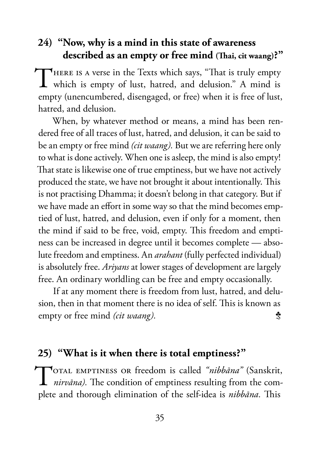#### **24) "Now, why is a mind in this state of awareness described as an empty or free mind (Thai, cit waang)?"**

THERE IS A verse in the Texts which says, "That is truly empty<br>which is empty of lust, hatred, and delusion." A mind is which is empty of lust, hatred, and delusion." A mind is empty (unencumbered, disengaged, or free) when it is free of lust, hatred, and delusion.

When, by whatever method or means, a mind has been rendered free of all traces of lust, hatred, and delusion, it can be said to be an empty or free mind *(cit waang).* But we are referring here only to what is done actively. When one is asleep, the mind is also empty! That state is likewise one of true emptiness, but we have not actively produced the state, we have not brought it about intentionally. This is not practising Dhamma; it doesn't belong in that category. But if we have made an effort in some way so that the mind becomes emptied of lust, hatred, and delusion, even if only for a moment, then the mind if said to be free, void, empty. This freedom and emptiness can be increased in degree until it becomes complete — absolute freedom and emptiness. An *arahant* (fully perfected individual) is absolutely free. *Ariyans* at lower stages of development are largely free. An ordinary worldling can be free and empty occasionally.

If at any moment there is freedom from lust, hatred, and delusion, then in that moment there is no idea of self. This is known as empty or free mind *(cit waang)*.

#### **25) "What is it when there is total emptiness?"**

TOTAL EMPTINESS OR freedom is called *"nibbāna"* (Sanskrit, *nirvāna)*. The condition of emptiness resulting from the com*nirvāna).* The condition of emptiness resulting from the complete and thorough elimination of the self-idea is *nibbāna.* This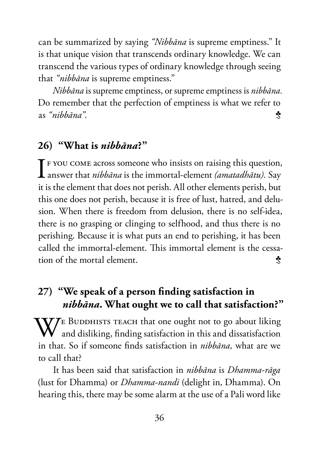can be summarized by saying *"Nibbāna* is supreme emptiness." It is that unique vision that transcends ordinary knowledge. We can transcend the various types of ordinary knowledge through seeing that *"nibbāna* is supreme emptiness."

*Nibbāna* is supreme emptiness, or supreme emptiness is *nibbāna.*  Do remember that the perfection of emptiness is what we refer to as "nibbāna".

## **26) "What is** *nibbāna***?"**

I F YOU COME across someone who insists on raising this question,<br>answer that *nibbana* is the immortal-element *(amatadhatu)*. Say answer that *nibbāna* is the immortal-element *(amatadhātu).* Say it is the element that does not perish. All other elements perish, but this one does not perish, because it is free of lust, hatred, and delusion. When there is freedom from delusion, there is no self-idea, there is no grasping or clinging to selfhood, and thus there is no perishing. Because it is what puts an end to perishing, it has been called the immortal-element. This immortal element is the cessation of the mortal element.

### **27) "We speak of a person finding satisfaction in**  *nibbāna***. What ought we to call that satisfaction?"**

WE BUDDHISTS TEACH that one ought not to go about liking<br>and disliking, finding satisfaction in this and dissatisfaction and disliking, finding satisfaction in this and dissatisfaction in that. So if someone finds satisfaction in *nibbāna,* what are we to call that?

It has been said that satisfaction in *nibbāna* is *Dhamma-rāga*  (lust for Dhamma) or *Dhamma-nandi* (delight in, Dhamma). On hearing this, there may be some alarm at the use of a Pali word like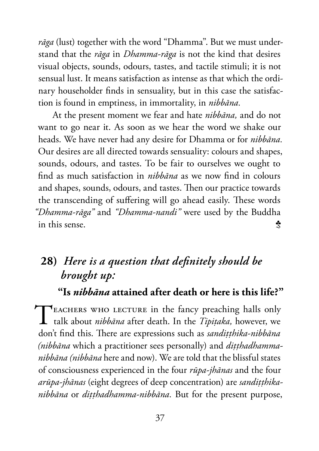*rāga* (lust) together with the word "Dhamma". But we must understand that the *rāga* in *Dhamma-rāga* is not the kind that desires visual objects, sounds, odours, tastes, and tactile stimuli; it is not sensual lust. It means satisfaction as intense as that which the ordinary householder finds in sensuality, but in this case the satisfaction is found in emptiness, in immortality, in *nibbāna.*

At the present moment we fear and hate *nibbāna,* and do not want to go near it. As soon as we hear the word we shake our heads. We have never had any desire for Dhamma or for *nibbāna.*  Our desires are all directed towards sensuality: colours and shapes, sounds, odours, and tastes. To be fair to ourselves we ought to find as much satisfaction in *nibbāna* as we now find in colours and shapes, sounds, odours, and tastes. Then our practice towards the transcending of suffering will go ahead easily. These words *"Dhamma-rāga"* and *"Dhamma-nandi"* were used by the Buddha in this sense.

## **28)** *Here is a question that definitely should be brought up:*

#### **28) "Is** *nibbāna* **attained after death or here is this life?"**

TEACHERS WHO LECTURE in the fancy preaching halls only<br>talk about *nibbana* after death. In the *Tipitaka*, however, we talk about *nibbāna* after death. In the *Tipiṭaka,* however, we don't find this. There are expressions such as *sandiṭṭhika-nibbāna (nibbāna* which a practitioner sees personally) and *diṭṭhadhammanibbāna (nibbāna* here and now). We are told that the blissful states of consciousness experienced in the four *rūpa-jhānas* and the four *arūpa-jhānas* (eight degrees of deep concentration) are *sandiṭṭhikanibbāna* or *diṭṭhadhamma-nibbāna.* But for the present purpose,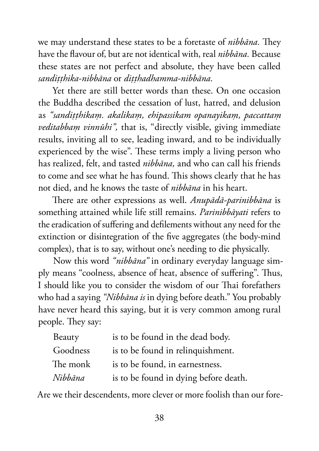we may understand these states to be a foretaste of *nibbāna.* They have the flavour of, but are not identical with, real *nibbāna.* Because these states are not perfect and absolute, they have been called *sandiṭṭhika-nibbāna* or *diṭṭhadhamma-nibbāna.*

Yet there are still better words than these. On one occasion the Buddha described the cessation of lust, hatred, and delusion as *"sandiṭṭhikaṃ. akalikaṃ, ehipassikam opanayikaṃ, paccattaṃ veditabbaṃ vinnūhi",* that is, "directly visible, giving immediate results, inviting all to see, leading inward, and to be individually experienced by the wise". These terms imply a living person who has realized, felt, and tasted *nibbāna,* and who can call his friends to come and see what he has found. This shows clearly that he has not died, and he knows the taste of *nibbāna* in his heart.

There are other expressions as well. *Anupādā-parinibbāna* is something attained while life still remains. *Parinibbāyati* refers to the eradication of suffering and defilements without any need for the extinction or disintegration of the five aggregates (the body-mind complex), that is to say, without one's needing to die physically.

Now this word *"nibbāna"* in ordinary everyday language simply means "coolness, absence of heat, absence of suffering". Thus, I should like you to consider the wisdom of our Thai forefathers who had a saying *"Nibbāna is* in dying before death." You probably have never heard this saying, but it is very common among rural people. They say:

| Beauty   | is to be found in the dead body.      |
|----------|---------------------------------------|
| Goodness | is to be found in relinquishment.     |
| The monk | is to be found, in earnestness.       |
| Nibbāna  | is to be found in dying before death. |

Are we their descendents, more clever or more foolish than our fore-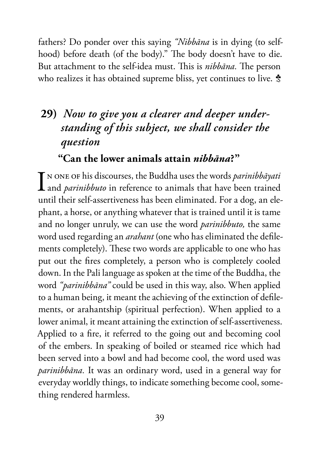fathers? Do ponder over this saying *"Nibbāna* is in dying (to selfhood) before death (of the body)." The body doesn't have to die. But attachment to the self-idea must. This is *nibbāna.* The person who realizes it has obtained supreme bliss, yet continues to live.  $\ddot{\mathbf{\hat{x}}}$ 

# **29)** *Now to give you a clearer and deeper understanding of this subject, we shall consider the question*

#### **29) "Can the lower animals attain** *nibbāna***?"**

I N ONE OF his discourses, the Buddha uses the words *parinibbāyati* and *parinibbuto* in reference to animals that have been trained and *parinibbuto* in reference to animals that have been trained until their self-assertiveness has been eliminated. For a dog, an elephant, a horse, or anything whatever that is trained until it is tame and no longer unruly, we can use the word *parinibbuto,* the same word used regarding an *arahant* (one who has eliminated the defilements completely). These two words are applicable to one who has put out the fires completely, a person who is completely cooled down. In the Pali language as spoken at the time of the Buddha, the word *"parinibbāna"* could be used in this way, also. When applied to a human being, it meant the achieving of the extinction of defilements, or arahantship (spiritual perfection). When applied to a lower animal, it meant attaining the extinction of self-assertiveness. Applied to a fire, it referred to the going out and becoming cool of the embers. In speaking of boiled or steamed rice which had been served into a bowl and had become cool, the word used was *parinibbāna.* It was an ordinary word, used in a general way for everyday worldly things, to indicate something become cool, something rendered harmless.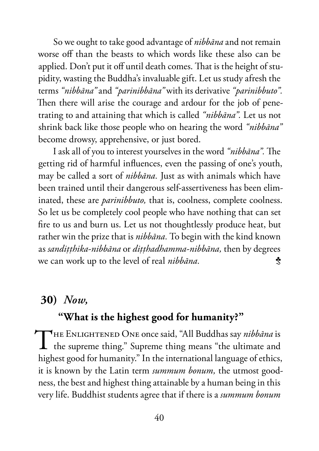So we ought to take good advantage of *nibbāna* and not remain worse off than the beasts to which words like these also can be applied. Don't put it off until death comes. That is the height of stupidity, wasting the Buddha's invaluable gift. Let us study afresh the terms *"nibbāna"* and *"parinibbāna"* with its derivative *"parinibbuto".*  Then there will arise the courage and ardour for the job of penetrating to and attaining that which is called *"nibbāna".* Let us not shrink back like those people who on hearing the word *"nibbāna"*  become drowsy, apprehensive, or just bored.

I ask all of you to interest yourselves in the word *"nibbāna".* The getting rid of harmful influences, even the passing of one's youth, may be called a sort of *nibbāna.* Just as with animals which have been trained until their dangerous self-assertiveness has been eliminated, these are *parinibbuto,* that is, coolness, complete coolness. So let us be completely cool people who have nothing that can set fire to us and burn us. Let us not thoughtlessly produce heat, but rather win the prize that is *nibbāna.* To begin with the kind known as *sandiṭṭhika-nibbāna* or *diṭṭhadhamma-nibbāna,* then by degrees we can work up to the level of real *nibbāna*.

### **30)** *Now,*

### **30) "What is the highest good for humanity?"**

THE ENLIGHTENED ONE once said, "All Buddhas say *nibbāna* is the supreme thing." Supreme thing means "the ultimate and the supreme thing." Supreme thing means "the ultimate and highest good for humanity." In the international language of ethics, it is known by the Latin term *summum bonum,* the utmost goodness, the best and highest thing attainable by a human being in this very life. Buddhist students agree that if there is a *summum bonum*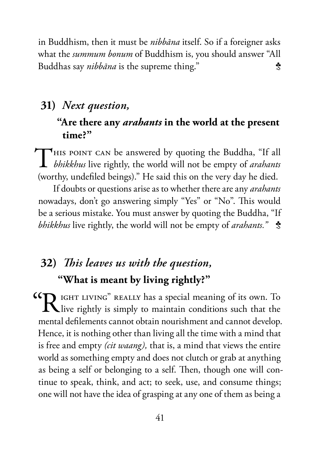in Buddhism, then it must be *nibbāna* itself. So if a foreigner asks what the *summum bonum* of Buddhism is, you should answer "All Buddhas say *nibbāna* is the supreme thing."

#### **31)** *Next question,*

#### **31) "Are there any** *arahants* **in the world at the present time?"**

THIS POINT CAN be answered by quoting the Buddha, "If all bhikkhus live rightly, the world will not be empty of *arahants bhikkhus* live rightly, the world will not be empty of *arahants*  (worthy, undefiled beings)." He said this on the very day he died.

If doubts or questions arise as to whether there are any *arahants*  nowadays, don't go answering simply "Yes" or "No". This would be a serious mistake. You must answer by quoting the Buddha, "If *bhikkhus* live rightly, the world will not be empty of *arahants.*"

## **32)** *This leaves us with the question,* **32) "What is meant by living rightly?"**

"THE ISSN OF THE LIVING" REALLY has a special meaning of its own. To live rightly is simply to maintain conditions such that the live rightly is simply to maintain conditions such that the mental defilements cannot obtain nourishment and cannot develop. Hence, it is nothing other than living all the time with a mind that is free and empty *(cit waang),* that is, a mind that views the entire world as something empty and does not clutch or grab at anything as being a self or belonging to a self. Then, though one will continue to speak, think, and act; to seek, use, and consume things; one will not have the idea of grasping at any one of them as being a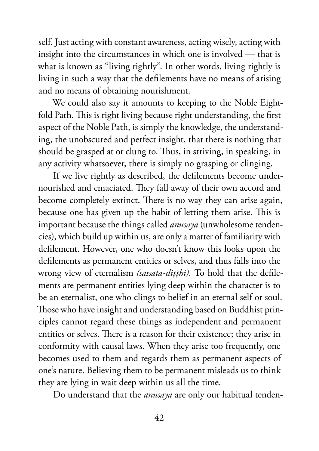self. Just acting with constant awareness, acting wisely, acting with insight into the circumstances in which one is involved — that is what is known as "living rightly". In other words, living rightly is living in such a way that the defilements have no means of arising and no means of obtaining nourishment.

We could also say it amounts to keeping to the Noble Eightfold Path. This is right living because right understanding, the first aspect of the Noble Path, is simply the knowledge, the understanding, the unobscured and perfect insight, that there is nothing that should be grasped at or clung to. Thus, in striving, in speaking, in any activity whatsoever, there is simply no grasping or clinging.

If we live rightly as described, the defilements become undernourished and emaciated. They fall away of their own accord and become completely extinct. There is no way they can arise again, because one has given up the habit of letting them arise. This is important because the things called *anusaya* (unwholesome tendencies), which build up within us, are only a matter of familiarity with defilement. However, one who doesn't know this looks upon the defilements as permanent entities or selves, and thus falls into the wrong view of eternalism *(sassata-diṭṭhi).* To hold that the defilements are permanent entities lying deep within the character is to be an eternalist, one who clings to belief in an eternal self or soul. Those who have insight and understanding based on Buddhist principles cannot regard these things as independent and permanent entities or selves. There is a reason for their existence; they arise in conformity with causal laws. When they arise too frequently, one becomes used to them and regards them as permanent aspects of one's nature. Believing them to be permanent misleads us to think they are lying in wait deep within us all the time.

Do understand that the *anusaya* are only our habitual tenden-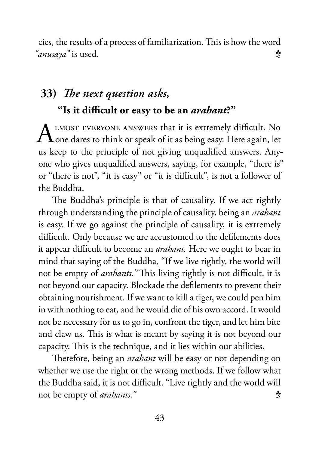cies, the results of a process of familiarization. This is how the word *"anusaya"* is used. 3

## **33)** *The next question asks,* **33) "Is it difficult or easy to be an** *arahant***?"**

ALMOST EVERYONE ANSWERS that it is extremely difficult. No<br>
one dares to think or speak of it as being easy. Here again, let one dares to think or speak of it as being easy. Here again, let us keep to the principle of not giving unqualified answers. Anyone who gives unqualified answers, saying, for example, "there is" or "there is not", "it is easy" or "it is difficult", is not a follower of the Buddha.

The Buddha's principle is that of causality. If we act rightly through understanding the principle of causality, being an *arahant*  is easy. If we go against the principle of causality, it is extremely difficult. Only because we are accustomed to the defilements does it appear difficult to become an *arahant.* Here we ought to bear in mind that saying of the Buddha, "If we live rightly, the world will not be empty of *arahants."* This living rightly is not difficult, it is not beyond our capacity. Blockade the defilements to prevent their obtaining nourishment. If we want to kill a tiger, we could pen him in with nothing to eat, and he would die of his own accord. It would not be necessary for us to go in, confront the tiger, and let him bite and claw us. This is what is meant by saying it is not beyond our capacity. This is the technique, and it lies within our abilities.

Therefore, being an *arahant* will be easy or not depending on whether we use the right or the wrong methods. If we follow what the Buddha said, it is not difficult. "Live rightly and the world will not be empty of *arahants.*"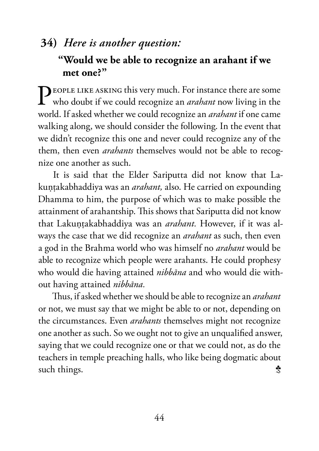## **34)** *Here is another question:*

#### **34) "Would we be able to recognize an arahant if we met one?"**

PEOPLE LIKE ASKING this very much. For instance there are some who doubt if we could recognize an *arahant* now living in the who doubt if we could recognize an *arahant* now living in the world. If asked whether we could recognize an *arahant* if one came walking along, we should consider the following. In the event that we didn't recognize this one and never could recognize any of the them, then even *arahants* themselves would not be able to recognize one another as such.

It is said that the Elder Sariputta did not know that Lakuṇṭakabhaddiya was an *arahant,* also. He carried on expounding Dhamma to him, the purpose of which was to make possible the attainment of arahantship. This shows that Sariputta did not know that Lakuṇṭakabhaddiya was an *arahant.* However, if it was always the case that we did recognize an *arahant* as such, then even a god in the Brahma world who was himself no *arahant* would be able to recognize which people were arahants. He could prophesy who would die having attained *nibbāna* and who would die without having attained *nibbāna.*

Thus, if asked whether we should be able to recognize an *arahant* or not, we must say that we might be able to or not, depending on the circumstances. Even *arahants* themselves might not recognize one another as such. So we ought not to give an unqualified answer, saying that we could recognize one or that we could not, as do the teachers in temple preaching halls, who like being dogmatic about  $\mathcal{S}$  such things.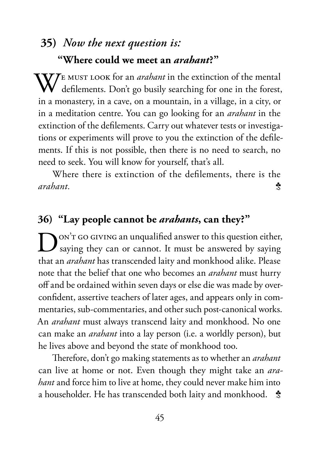## **35)** *Now the next question is:* **35) "Where could we meet an** *arahant***?"**

W<sup>E MUST</sup> LOOK for an *arahant* in the extinction of the mental defilements. Don't go busily searching for one in the forest, in a monastery, in a cave, on a mountain, in a village, in a city, or in a meditation centre. You can go looking for an *arahant* in the extinction of the defilements. Carry out whatever tests or investigations or experiments will prove to you the extinction of the defilements. If this is not possible, then there is no need to search, no need to seek. You will know for yourself, that's all.

Where there is extinction of the defilements, there is the *arahant.* 3

#### **36) "Lay people cannot be** *arahants***, can they?"**

D<sup>ON'T GO GIVING an unqualified answer to this question either,<br>saying they can or cannot. It must be answered by saying</sup> saying they can or cannot. It must be answered by saying that an *arahant* has transcended laity and monkhood alike. Please note that the belief that one who becomes an *arahant* must hurry off and be ordained within seven days or else die was made by overconfident, assertive teachers of later ages, and appears only in commentaries, sub-commentaries, and other such post-canonical works. An *arahant* must always transcend laity and monkhood. No one can make an *arahant* into a lay person (i.e. a worldly person), but he lives above and beyond the state of monkhood too.

Therefore, don't go making statements as to whether an *arahant* can live at home or not. Even though they might take an *arahant* and force him to live at home, they could never make him into a householder. He has transcended both laity and monkhood.  $\dot{\mathbf{\hat{x}}}$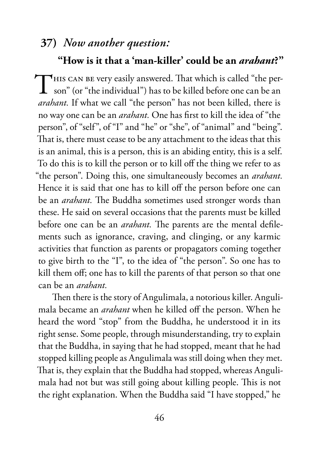### **37)** *Now another question:*

#### **37) "How is it that a 'man-killer' could be an** *arahant***?"**

THIS CAN BE very easily answered. That which is called "the per-<br>son" (or "the individual") has to be killed before one can be an son" (or "the individual") has to be killed before one can be an *arahant.* If what we call "the person" has not been killed, there is no way one can be an *arahant.* One has first to kill the idea of "the person", of "self", of "I" and "he" or "she", of "animal" and "being". That is, there must cease to be any attachment to the ideas that this is an animal, this is a person, this is an abiding entity, this is a self. To do this is to kill the person or to kill off the thing we refer to as "the person". Doing this, one simultaneously becomes an *arahant.*  Hence it is said that one has to kill off the person before one can be an *arahant.* The Buddha sometimes used stronger words than these. He said on several occasions that the parents must be killed before one can be an *arahant.* The parents are the mental defilements such as ignorance, craving, and clinging, or any karmic activities that function as parents or propagators coming together to give birth to the "I", to the idea of "the person". So one has to kill them off; one has to kill the parents of that person so that one can be an *arahant.*

Then there is the story of Angulimala, a notorious killer. Angulimala became an *arahant* when he killed off the person. When he heard the word "stop" from the Buddha, he understood it in its right sense. Some people, through misunderstanding, try to explain that the Buddha, in saying that he had stopped, meant that he had stopped killing people as Angulimala was still doing when they met. That is, they explain that the Buddha had stopped, whereas Angulimala had not but was still going about killing people. This is not the right explanation. When the Buddha said "I have stopped," he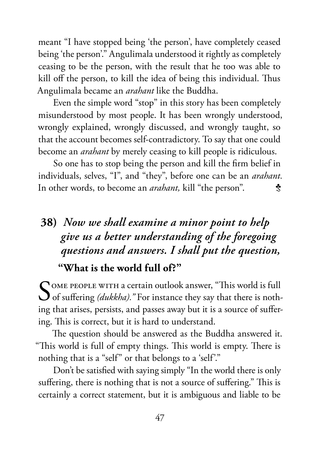meant "I have stopped being 'the person', have completely ceased being 'the person'." Angulimala understood it rightly as completely ceasing to be the person, with the result that he too was able to kill off the person, to kill the idea of being this individual. Thus Angulimala became an *arahant* like the Buddha.

Even the simple word "stop" in this story has been completely misunderstood by most people. It has been wrongly understood, wrongly explained, wrongly discussed, and wrongly taught, so that the account becomes self-contradictory. To say that one could become an *arahant* by merely ceasing to kill people is ridiculous.

So one has to stop being the person and kill the firm belief in individuals, selves, "I", and "they", before one can be an *arahant.*  In other words, to become an *arahant*, kill "the person".

## **38)** *Now we shall examine a minor point to help give us a better understanding of the foregoing questions and answers. I shall put the question,* **38) "What is the world full of?"**

SOME PEOPLE WITH a certain outlook answer, "This world is full<br>of suffering (dukkha)." For instance they say that there is nothof suffering *(dukkha)."* For instance they say that there is nothing that arises, persists, and passes away but it is a source of suffering. This is correct, but it is hard to understand.

The question should be answered as the Buddha answered it. "This world is full of empty things. This world is empty. There is nothing that is a "self" or that belongs to a 'self'."

Don't be satisfied with saying simply "In the world there is only suffering, there is nothing that is not a source of suffering." This is certainly a correct statement, but it is ambiguous and liable to be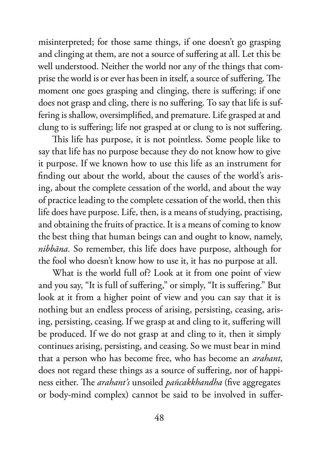misinterpreted; for those same things, if one doesn't go grasping and clinging at them, are not a source of suffering at all. Let this be well understood. Neither the world nor any of the things that comprise the world is or ever has been in itself, a source of suffering. The moment one goes grasping and clinging, there is suffering; if one does not grasp and cling, there is no suffering. To say that life is suffering is shallow, oversimplified, and premature. Life grasped at and clung to is suffering; life not grasped at or clung to is not suffering.

This life has purpose, it is not pointless. Some people like to say that life has no purpose because they do not know how to give it purpose. If we known how to use this life as an instrument for finding out about the world, about the causes of the world's arising, about the complete cessation of the world, and about the way of practice leading to the complete cessation of the world, then this life does have purpose. Life, then, is a means of studying, practising, and obtaining the fruits of practice. It is a means of coming to know the best thing that human beings can and ought to know, namely, *nibbāna.* So remember, this life does have purpose, although for the fool who doesn't know how to use it, it has no purpose at all.

What is the world full of? Look at it from one point of view and you say, "It is full of suffering," or simply, "It is suffering." But look at it from a higher point of view and you can say that it is nothing but an endless process of arising, persisting, ceasing, arising, persisting, ceasing. If we grasp at and cling to it, suffering will be produced. If we do not grasp at and cling to it, then it simply continues arising, persisting, and ceasing. So we must bear in mind that a person who has become free, who has become an *arahant,*  does not regard these things as a source of suffering, nor of happiness either. The *arahant's* unsoiled *pañcakkhandha* (five aggregates or body-mind complex) cannot be said to be involved in suffer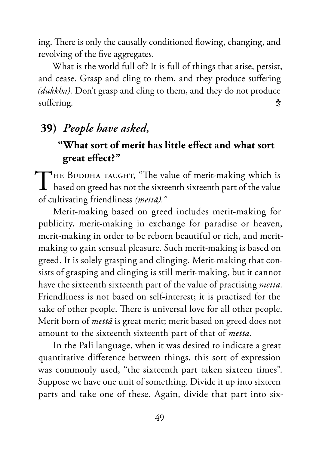ing. There is only the causally conditioned flowing, changing, and revolving of the five aggregates.

What is the world full of? It is full of things that arise, persist, and cease. Grasp and cling to them, and they produce suffering *(dukkha).* Don't grasp and cling to them, and they do not produce  $\mathbf s$  suffering.

## **39)** *People have asked,*

### **39) "What sort of merit has little effect and what sort great effect?"**

THE BUDDHA TAUGHT, "The value of merit-making which is based on greed has not the sixteenth sixteenth part of the value based on greed has not the sixteenth sixteenth part of the value of cultivating friendliness *(mettā)."*

Merit-making based on greed includes merit-making for publicity, merit-making in exchange for paradise or heaven, merit-making in order to be reborn beautiful or rich, and meritmaking to gain sensual pleasure. Such merit-making is based on greed. It is solely grasping and clinging. Merit-making that consists of grasping and clinging is still merit-making, but it cannot have the sixteenth sixteenth part of the value of practising *metta.*  Friendliness is not based on self-interest; it is practised for the sake of other people. There is universal love for all other people. Merit born of *mettā* is great merit; merit based on greed does not amount to the sixteenth sixteenth part of that of *metta.*

In the Pali language, when it was desired to indicate a great quantitative difference between things, this sort of expression was commonly used, "the sixteenth part taken sixteen times". Suppose we have one unit of something. Divide it up into sixteen parts and take one of these. Again, divide that part into six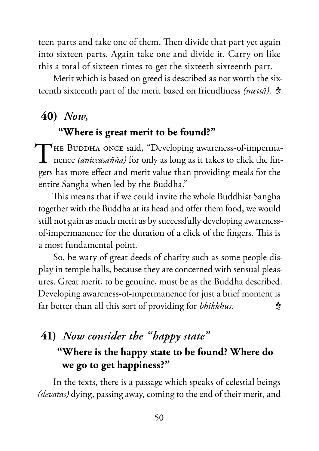teen parts and take one of them. Then divide that part yet again into sixteen parts. Again take one and divide it. Carry on like this a total of sixteen times to get the sixteeth sixteenth part.

Merit which is based on greed is described as not worth the sixteenth sixteenth part of the merit based on friendliness *(mettā).* 3

## **40)** *Now,*

#### **40) "Where is great merit to be found?"**

THE BUDDHA ONCE said, "Developing awareness-of-imperma-<br>nence *(aniccasañña)* for only as long as it takes to click the finnence *(aniccasañña)* for only as long as it takes to click the fingers has more effect and merit value than providing meals for the entire Sangha when led by the Buddha."

This means that if we could invite the whole Buddhist Sangha together with the Buddha at its head and offer them food, we would still not gain as much merit as by successfully developing awarenessof-impermanence for the duration of a click of the fingers. This is a most fundamental point.

So, be wary of great deeds of charity such as some people display in temple halls, because they are concerned with sensual pleasures. Great merit, to be genuine, must be as the Buddha described. Developing awareness-of-impermanence for just a brief moment is far better than all this sort of providing for *bhikkhus*.

## **41)** *Now consider the " happy state"*

### **41) "Where is the happy state to be found? Where do we go to get happiness?"**

In the texts, there is a passage which speaks of celestial beings *(devatas)* dying, passing away, coming to the end of their merit, and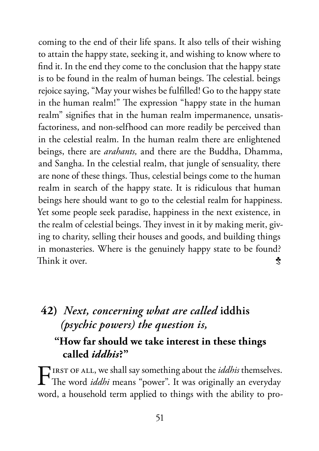coming to the end of their life spans. It also tells of their wishing to attain the happy state, seeking it, and wishing to know where to find it. In the end they come to the conclusion that the happy state is to be found in the realm of human beings. The celestial. beings rejoice saying, "May your wishes be fulfilled! Go to the happy state in the human realm!" The expression "happy state in the human realm" signifies that in the human realm impermanence, unsatisfactoriness, and non-selfhood can more readily be perceived than in the celestial realm. In the human realm there are enlightened beings, there are *arahants,* and there are the Buddha, Dhamma, and Sangha. In the celestial realm, that jungle of sensuality, there are none of these things. Thus, celestial beings come to the human realm in search of the happy state. It is ridiculous that human beings here should want to go to the celestial realm for happiness. Yet some people seek paradise, happiness in the next existence, in the realm of celestial beings. They invest in it by making merit, giving to charity, selling their houses and goods, and building things in monasteries. Where is the genuinely happy state to be found? Think it over.

## **42)** *Next, concerning what are called* **iddhis** *(psychic powers) the question is,*

### **42 "How far should we take interest in these things called** *iddhis***?"**

FIRST OF ALL, we shall say something about the *iddhis* themselves.<br>The word *iddhi* means "power". It was originally an everyday The word *iddhi* means "power". It was originally an everyday word, a household term applied to things with the ability to pro-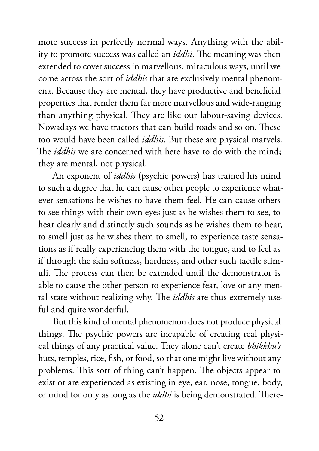mote success in perfectly normal ways. Anything with the ability to promote success was called an *iddhi.* The meaning was then extended to cover success in marvellous, miraculous ways, until we come across the sort of *iddhis* that are exclusively mental phenomena. Because they are mental, they have productive and beneficial properties that render them far more marvellous and wide-ranging than anything physical. They are like our labour-saving devices. Nowadays we have tractors that can build roads and so on. These too would have been called *iddhis.* But these are physical marvels. The *iddhis* we are concerned with here have to do with the mind; they are mental, not physical.

An exponent of *iddhis* (psychic powers) has trained his mind to such a degree that he can cause other people to experience whatever sensations he wishes to have them feel. He can cause others to see things with their own eyes just as he wishes them to see, to hear clearly and distinctly such sounds as he wishes them to hear, to smell just as he wishes them to smell, to experience taste sensations as if really experiencing them with the tongue, and to feel as if through the skin softness, hardness, and other such tactile stimuli. The process can then be extended until the demonstrator is able to cause the other person to experience fear, love or any mental state without realizing why. The *iddhis* are thus extremely useful and quite wonderful.

But this kind of mental phenomenon does not produce physical things. The psychic powers are incapable of creating real physical things of any practical value. They alone can't create *bhikkhu's*  huts, temples, rice, fish, or food, so that one might live without any problems. This sort of thing can't happen. The objects appear to exist or are experienced as existing in eye, ear, nose, tongue, body, or mind for only as long as the *iddhi* is being demonstrated. There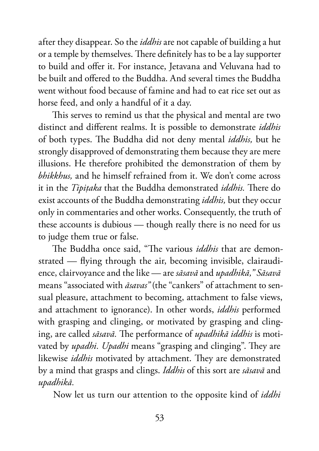after they disappear. So the *iddhis* are not capable of building a hut or a temple by themselves. There definitely has to be a lay supporter to build and offer it. For instance, Jetavana and Veluvana had to be built and offered to the Buddha. And several times the Buddha went without food because of famine and had to eat rice set out as horse feed, and only a handful of it a day.

This serves to remind us that the physical and mental are two distinct and different realms. It is possible to demonstrate *iddhis*  of both types. The Buddha did not deny mental *iddhis,* but he strongly disapproved of demonstrating them because they are mere illusions. He therefore prohibited the demonstration of them by *bhikkhus,* and he himself refrained from it. We don't come across it in the *Tipiṭaka* that the Buddha demonstrated *iddhis.* There do exist accounts of the Buddha demonstrating *iddhis,* but they occur only in commentaries and other works. Consequently, the truth of these accounts is dubious — though really there is no need for us to judge them true or false.

The Buddha once said, "The various *iddhis* that are demonstrated — flying through the air, becoming invisible, clairaudience, clairvoyance and the like — are *sāsavā* and *upadhikā," Sāsavā* means "associated with *āsavas"* (the "cankers" of attachment to sensual pleasure, attachment to becoming, attachment to false views, and attachment to ignorance). In other words, *iddhis* performed with grasping and clinging, or motivated by grasping and clinging, are called *sāsavā.* The performance of *upadhikā iddhis* is motivated by *upadhi. Upadhi* means "grasping and clinging". They are likewise *iddhis* motivated by attachment. They are demonstrated by a mind that grasps and clings. *Iddhis* of this sort are *sāsavā* and *upadhikā.*

Now let us turn our attention to the opposite kind of *iddhi*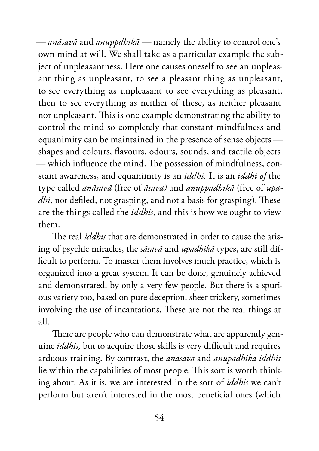*— anāsavā* and *anuppdhikā —* namely the ability to control one's own mind at will. We shall take as a particular example the subject of unpleasantness. Here one causes oneself to see an unpleasant thing as unpleasant, to see a pleasant thing as unpleasant, to see everything as unpleasant to see everything as pleasant, then to see everything as neither of these, as neither pleasant nor unpleasant. This is one example demonstrating the ability to control the mind so completely that constant mindfulness and equanimity can be maintained in the presence of sense objects shapes and colours, flavours, odours, sounds, and tactile objects — which influence the mind. The possession of mindfulness, constant awareness, and equanimity is an *iddhi.* It is an *iddhi of* the type called *anāsavā* (free of *āsava)* and *anuppadhikā* (free of *upadhi,* not defiled, not grasping, and not a basis for grasping). These are the things called the *iddhis,* and this is how we ought to view them.

The real *iddhis* that are demonstrated in order to cause the arising of psychic miracles, the *sāsavā* and *upadhikā* types, are still difficult to perform. To master them involves much practice, which is organized into a great system. It can be done, genuinely achieved and demonstrated, by only a very few people. But there is a spurious variety too, based on pure deception, sheer trickery, sometimes involving the use of incantations. These are not the real things at all.

There are people who can demonstrate what are apparently genuine *iddhis,* but to acquire those skills is very difficult and requires arduous training. By contrast, the *anāsavā* and *anupadhikā iddhis*  lie within the capabilities of most people. This sort is worth thinking about. As it is, we are interested in the sort of *iddhis* we can't perform but aren't interested in the most beneficial ones (which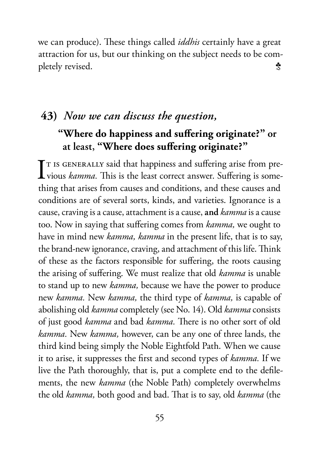we can produce). These things called *iddhis* certainly have a great attraction for us, but our thinking on the subject needs to be completely revised.

# **43)** *Now we can discuss the question,* **43) "Where do happiness and suffering originate?" or at least, "Where does suffering originate?"**

IT IS GENERALLY said that happiness and suffering arise from pre-<br>vious kamma. This is the least correct answer. Suffering is somevious *kamma.* This is the least correct answer. Suffering is something that arises from causes and conditions, and these causes and conditions are of several sorts, kinds, and varieties. Ignorance is a cause, craving is a cause, attachment is a cause, **and** *kamma* is a cause too. Now in saying that suffering comes from *kamma,* we ought to have in mind new *kamma, kamma* in the present life, that is to say, the brand-new ignorance, craving, and attachment of this life. Think of these as the factors responsible for suffering, the roots causing the arising of suffering. We must realize that old *kamma* is unable to stand up to new *kamma,* because we have the power to produce new *kamma.* New *kamma,* the third type of *kamma,* is capable of abolishing old *kamma* completely (see No. 14). Old *kamma* consists of just good *kamma* and bad *kamma.* There is no other sort of old *kamma.* New *kamma,* however, can be any one of three lands, the third kind being simply the Noble Eightfold Path. When we cause it to arise, it suppresses the first and second types of *kamma.* If we live the Path thoroughly, that is, put a complete end to the defilements, the new *kamma* (the Noble Path) completely overwhelms the old *kamma,* both good and bad. That is to say, old *kamma* (the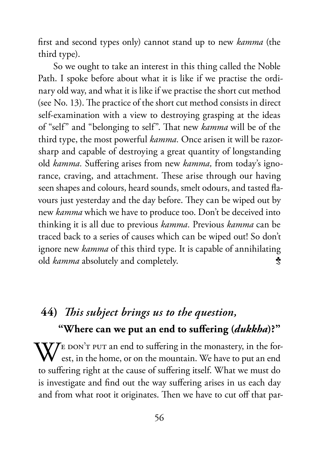first and second types only) cannot stand up to new *kamma* (the third type).

So we ought to take an interest in this thing called the Noble Path. I spoke before about what it is like if we practise the ordinary old way, and what it is like if we practise the short cut method (see No. 13). The practice of the short cut method consists in direct self-examination with a view to destroying grasping at the ideas of "self" and "belonging to self". That new *kamma* will be of the third type, the most powerful *kamma.* Once arisen it will be razorsharp and capable of destroying a great quantity of longstanding old *kamma.* Suffering arises from new *kamma,* from today's ignorance, craving, and attachment. These arise through our having seen shapes and colours, heard sounds, smelt odours, and tasted flavours just yesterday and the day before. They can be wiped out by new *kamma* which we have to produce too. Don't be deceived into thinking it is all due to previous *kamma.* Previous *kamma* can be traced back to a series of causes which can be wiped out! So don't ignore new *kamma* of this third type. It is capable of annihilating old *kamma* absolutely and completely.

# **44)** *This subject brings us to the question,* **44) "Where can we put an end to suffering (***dukkha***)?"**

 $\boldsymbol{\nabla} \boldsymbol{\mathcal{J}}$ E DON'T PUT an end to suffering in the monastery, in the forest, in the home, or on the mountain. We have to put an end to suffering right at the cause of suffering itself. What we must do is investigate and find out the way suffering arises in us each day and from what root it originates. Then we have to cut off that par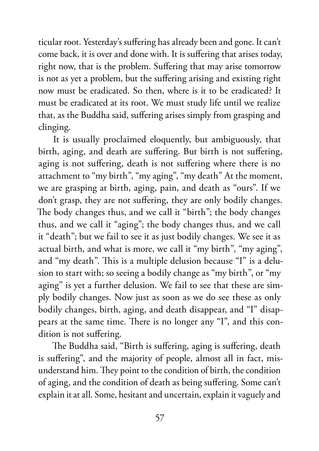ticular root. Yesterday's suffering has already been and gone. It can't come back, it is over and done with. It is suffering that arises today, right now, that is the problem. Suffering that may arise tomorrow is not as yet a problem, but the suffering arising and existing right now must be eradicated. So then, where is it to be eradicated? It must be eradicated at its root. We must study life until we realize that, as the Buddha said, suffering arises simply from grasping and clinging.

It is usually proclaimed eloquently, but ambiguously, that birth, aging, and death are suffering. But birth is not suffering, aging is not suffering, death is not suffering where there is no attachment to "my birth", "my aging", "my death" At the moment, we are grasping at birth, aging, pain, and death as "ours". If we don't grasp, they are not suffering, they are only bodily changes. The body changes thus, and we call it "birth"; the body changes thus, and we call it "aging"; the body changes thus, and we call it "death"; but we fail to see it as just bodily changes. We see it as actual birth, and what is more, we call it "my birth", "my aging", and "my death". This is a multiple delusion because "I" is a delusion to start with; so seeing a bodily change as "my birth", or "my aging" is yet a further delusion. We fail to see that these are simply bodily changes. Now just as soon as we do see these as only bodily changes, birth, aging, and death disappear, and "I" disappears at the same time. There is no longer any "I", and this condition is not suffering.

The Buddha said, "Birth is suffering, aging is suffering, death is suffering", and the majority of people, almost all in fact, misunderstand him. They point to the condition of birth, the condition of aging, and the condition of death as being suffering. Some can't explain it at all. Some, hesitant and uncertain, explain it vaguely and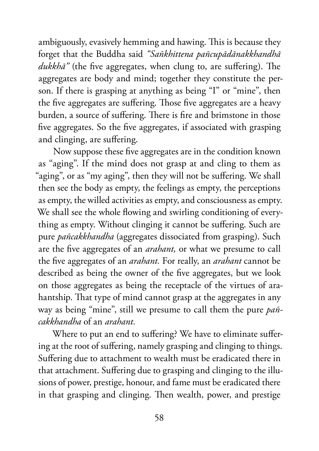ambiguously, evasively hemming and hawing. This is because they forget that the Buddha said *"Sañkhittena pañcupādānakkhandhā dukkhā"* (the five aggregates, when clung to, are suffering). The aggregates are body and mind; together they constitute the person. If there is grasping at anything as being "I" or "mine", then the five aggregates are suffering. Those five aggregates are a heavy burden, a source of suffering. There is fire and brimstone in those five aggregates. So the five aggregates, if associated with grasping and clinging, are suffering.

Now suppose these five aggregates are in the condition known as "aging". If the mind does not grasp at and cling to them as "aging", or as "my aging", then they will not be suffering. We shall then see the body as empty, the feelings as empty, the perceptions as empty, the willed activities as empty, and consciousness as empty. We shall see the whole flowing and swirling conditioning of everything as empty. Without clinging it cannot be suffering. Such are pure *pañcakkhandha* (aggregates dissociated from grasping). Such are the five aggregates of an *arahant,* or what we presume to call the five aggregates of an *arahant.* For really, an *arahant* cannot be described as being the owner of the five aggregates, but we look on those aggregates as being the receptacle of the virtues of arahantship. That type of mind cannot grasp at the aggregates in any way as being "mine", still we presume to call them the pure *pañcakkhandha* of an *arahant.*

Where to put an end to suffering? We have to eliminate suffering at the root of suffering, namely grasping and clinging to things. Suffering due to attachment to wealth must be eradicated there in that attachment. Suffering due to grasping and clinging to the illusions of power, prestige, honour, and fame must be eradicated there in that grasping and clinging. Then wealth, power, and prestige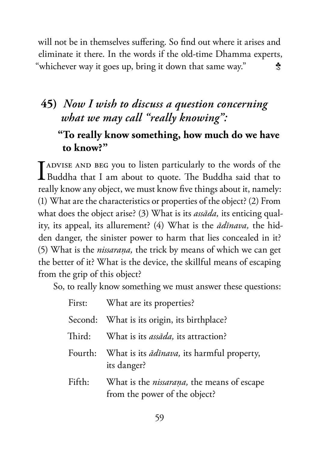will not be in themselves suffering. So find out where it arises and eliminate it there. In the words if the old-time Dhamma experts, "whichever way it goes up, bring it down that same way."

## **45)** *Now I wish to discuss a question concerning what we may call "really knowing":*

## **45) "To really know something, how much do we have to know?"**

I ADVISE AND BEG you to listen particularly to the words of the Buddha that I am about to quote. The Buddha said that to Buddha that I am about to quote. The Buddha said that to really know any object, we must know five things about it, namely: (1) What are the characteristics or properties of the object? (2) From what does the object arise? (3) What is its *assāda,* its enticing quality, its appeal, its allurement? (4) What is the *ādīnava,* the hidden danger, the sinister power to harm that lies concealed in it? (5) What is the *nissaraṇa,* the trick by means of which we can get the better of it? What is the device, the skillful means of escaping from the grip of this object?

So, to really know something we must answer these questions:

| First: | What are its properties?                                                            |
|--------|-------------------------------------------------------------------------------------|
|        | Second: What is its origin, its birthplace?                                         |
| Third: | What is its <i>assada</i> , its attraction?                                         |
|        | Fourth: What is its <i>adinava</i> , its harmful property,<br>its danger?           |
| Fifth: | What is the <i>nissarana</i> , the means of escape<br>from the power of the object? |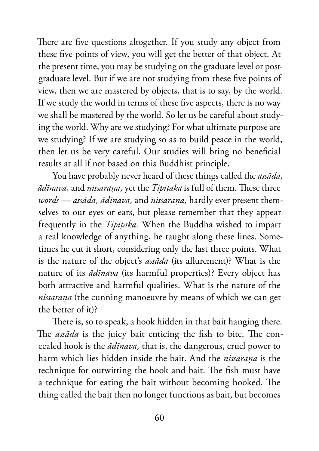There are five questions altogether. If you study any object from these five points of view, you will get the better of that object. At the present time, you may be studying on the graduate level or postgraduate level. But if we are not studying from these five points of view, then we are mastered by objects, that is to say, by the world. If we study the world in terms of these five aspects, there is no way we shall be mastered by the world. So let us be careful about studying the world. Why are we studying? For what ultimate purpose are we studying? If we are studying so as to build peace in the world, then let us be very careful. Our studies will bring no beneficial results at all if not based on this Buddhist principle.

You have probably never heard of these things called the *assāda, ādīnava,* and *nissaraṇa,* yet the *Tipiṭaka* is full of them. These three *words — assāda, ādīnava,* and *nissaraṇa,* hardly ever present themselves to our eyes or ears, but please remember that they appear frequently in the *Tipiṭaka.* When the Buddha wished to impart a real knowledge of anything, he taught along these lines. Sometimes he cut it short, considering only the last three points. What is the nature of the object's *assāda* (its allurement)? What is the nature of its *ādīnava* (its harmful properties)? Every object has both attractive and harmful qualities. What is the nature of the *nissaraṇa* (the cunning manoeuvre by means of which we can get the better of it)?

There is, so to speak, a hook hidden in that bait hanging there. The *assāda* is the juicy bait enticing the fish to bite. The concealed hook is the *ādīnava,* that is, the dangerous, cruel power to harm which lies hidden inside the bait. And the *nissaraṇa* is the technique for outwitting the hook and bait. The fish must have a technique for eating the bait without becoming hooked. The thing called the bait then no longer functions as bait, but becomes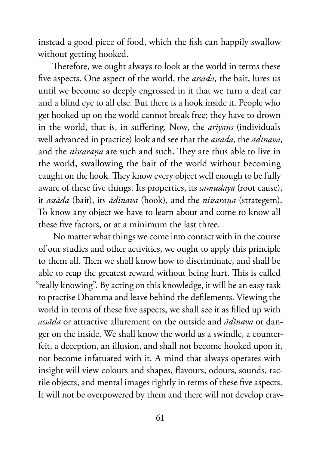instead a good piece of food, which the fish can happily swallow without getting hooked.

Therefore, we ought always to look at the world in terms these five aspects. One aspect of the world, the *assāda,* the bait, lures us until we become so deeply engrossed in it that we turn a deaf ear and a blind eye to all else. But there is a hook inside it. People who get hooked up on the world cannot break free; they have to drown in the world, that is, in suffering. Now, the *ariyans* (individuals well advanced in practice) look and see that the *assāda,* the *ādīnava,*  and the *nissaraṇa* are such and such. They are thus able to live in the world, swallowing the bait of the world without becoming caught on the hook. They know every object well enough to be fully aware of these five things. Its properties, its *samudaya* (root cause), it *assāda* (bait), its *ādīnava* (hook), and the *nissaraṇa* (strategem). To know any object we have to learn about and come to know all these five factors, or at a minimum the last three.

No matter what things we come into contact with in the course of our studies and other activities, we ought to apply this principle to them all. Then we shall know how to discriminate, and shall be able to reap the greatest reward without being hurt. This is called "really knowing". By acting on this knowledge, it will be an easy task to practise Dhamma and leave behind the defilements. Viewing the world in terms of these five aspects, we shall see it as filled up with *assāda* or attractive allurement on the outside and *ādīnava* or danger on the inside. We shall know the world as a swindle, a counterfeit, a deception, an illusion, and shall not become hooked upon it, not become infatuated with it. A mind that always operates with insight will view colours and shapes, flavours, odours, sounds, tactile objects, and mental images rightly in terms of these five aspects. It will not be overpowered by them and there will not develop crav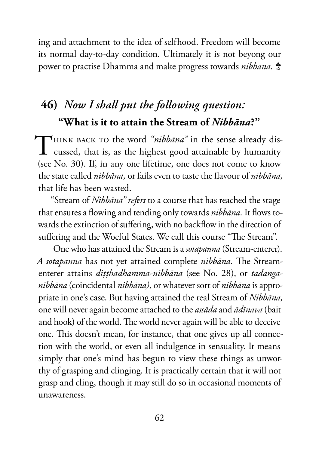ing and attachment to the idea of selfhood. Freedom will become its normal day-to-day condition. Ultimately it is not beyong our power to practise Dhamma and make progress towards *nibbāna.* 3

# **46)** *Now I shall put the following question:* **46) "What is it to attain the Stream of** *Nibbāna***?"**

THINK BACK TO the word *"nibbāna"* in the sense already dis-<br>cussed, that is, as the highest good attainable by humanity cussed, that is, as the highest good attainable by humanity (see No. 30). If, in any one lifetime, one does not come to know the state called *nibbāna,* or fails even to taste the flavour of *nibbāna,*  that life has been wasted.

"Stream of *Nibbāna" refers* to a course that has reached the stage that ensures a flowing and tending only towards *nibbāna.* It flows towards the extinction of suffering, with no backflow in the direction of suffering and the Woeful States. We call this course "The Stream".

One who has attained the Stream is a *sotapanna* (Stream-enterer). *A sotapanna* has not yet attained complete *nibbāna.* The Streamenterer attains *diṭṭhadhamma-nibbāna* (see No. 28), or *tadanganibbāna* (coincidental *nibbāna),* or whatever sort of *nibbāna* is appropriate in one's case. But having attained the real Stream of *Nibbāna,*  one will never again become attached to the *assāda* and *ādīnava* (bait and hook) of the world. The world never again will be able to deceive one. This doesn't mean, for instance, that one gives up all connection with the world, or even all indulgence in sensuality. It means simply that one's mind has begun to view these things as unworthy of grasping and clinging. It is practically certain that it will not grasp and cling, though it may still do so in occasional moments of unawareness.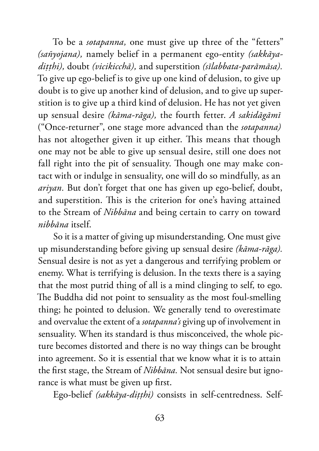To be a *sotapanna,* one must give up three of the "fetters" *(sañyojana),* namely belief in a permanent ego-entity *(sakkāyadiṭṭhi),* doubt *(vicikicchā),* and superstition *(sīlabbata-parāmāsa).*  To give up ego-belief is to give up one kind of delusion, to give up doubt is to give up another kind of delusion, and to give up superstition is to give up a third kind of delusion. He has not yet given up sensual desire *(kāma-rāga),* the fourth fetter. *A sakidāgāmī* ("Once-returner", one stage more advanced than the *sotapanna)*  has not altogether given it up either. This means that though one may not be able to give up sensual desire, still one does not fall right into the pit of sensuality. Though one may make contact with or indulge in sensuality, one will do so mindfully, as an *ariyan.* But don't forget that one has given up ego-belief, doubt, and superstition. This is the criterion for one's having attained to the Stream of *Nibbāna* and being certain to carry on toward *nibbāna* itself.

So it is a matter of giving up misunderstanding. One must give up misunderstanding before giving up sensual desire *(kāma-rāga).*  Sensual desire is not as yet a dangerous and terrifying problem or enemy. What is terrifying is delusion. In the texts there is a saying that the most putrid thing of all is a mind clinging to self, to ego. The Buddha did not point to sensuality as the most foul-smelling thing; he pointed to delusion. We generally tend to overestimate and overvalue the extent of a *sotapanna's* giving up of involvement in sensuality. When its standard is thus misconceived, the whole picture becomes distorted and there is no way things can be brought into agreement. So it is essential that we know what it is to attain the first stage, the Stream of *Nibbāna.* Not sensual desire but ignorance is what must be given up first.

Ego-belief *(sakkāya-diṭṭhi)* consists in self-centredness. Self-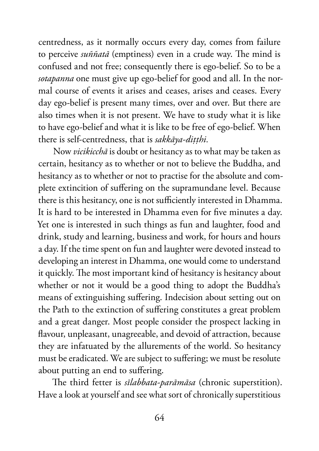centredness, as it normally occurs every day, comes from failure to perceive *suññatā* (emptiness) even in a crude way. The mind is confused and not free; consequently there is ego-belief. So to be a *sotapanna* one must give up ego-belief for good and all. In the normal course of events it arises and ceases, arises and ceases. Every day ego-belief is present many times, over and over. But there are also times when it is not present. We have to study what it is like to have ego-belief and what it is like to be free of ego-belief. When there is self-centredness, that is *sakkāya-diṭṭhi.*

Now *vicikicchā* is doubt or hesitancy as to what may be taken as certain, hesitancy as to whether or not to believe the Buddha, and hesitancy as to whether or not to practise for the absolute and complete extincition of suffering on the supramundane level. Because there is this hesitancy, one is not sufficiently interested in Dhamma. It is hard to be interested in Dhamma even for five minutes a day. Yet one is interested in such things as fun and laughter, food and drink, study and learning, business and work, for hours and hours a day. If the time spent on fun and laughter were devoted instead to developing an interest in Dhamma, one would come to understand it quickly. The most important kind of hesitancy is hesitancy about whether or not it would be a good thing to adopt the Buddha's means of extinguishing suffering. Indecision about setting out on the Path to the extinction of suffering constitutes a great problem and a great danger. Most people consider the prospect lacking in flavour, unpleasant, unagreeable, and devoid of attraction, because they are infatuated by the allurements of the world. So hesitancy must be eradicated. We are subject to suffering; we must be resolute about putting an end to suffering.

The third fetter is *sīlabbata-parāmāsa* (chronic superstition). Have a look at yourself and see what sort of chronically superstitious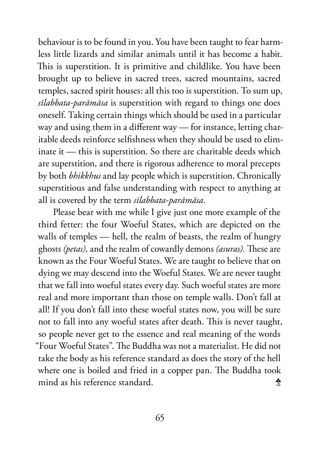behaviour is to be found in you. You have been taught to fear harmless little lizards and similar animals until it has become a habit. This is superstition. It is primitive and childlike. You have been brought up to believe in sacred trees, sacred mountains, sacred temples, sacred spirit houses: all this too is superstition. To sum up, *sīlabbata-parāmāsa* is superstition with regard to things one does oneself. Taking certain things which should be used in a particular way and using them in a different way — for instance, letting charitable deeds reinforce selfishness when they should be used to eliminate it — this is superstition. So there are charitable deeds which are superstition, and there is rigorous adherence to moral precepts by both *bhikkhus* and lay people which is superstition. Chronically superstitious and false understanding with respect to anything at all is covered by the term *sīlabbata-parāmāsa.*

Please bear with me while I give just one more example of the third fetter: the four Woeful States, which are depicted on the walls of temples — hell, the realm of beasts, the realm of hungry ghosts *(petas),* and the realm of cowardly demons *(asuras).* These are known as the Four Woeful States. We are taught to believe that on dying we may descend into the Woeful States. We are never taught that we fall into woeful states every day. Such woeful states are more real and more important than those on temple walls. Don't fall at all! If you don't fall into these woeful states now, you will be sure not to fall into any woeful states after death. This is never taught, so people never get to the essence and real meaning of the words "Four Woeful States". The Buddha was not a materialist. He did not take the body as his reference standard as does the story of the hell where one is boiled and fried in a copper pan. The Buddha took mind as his reference standard.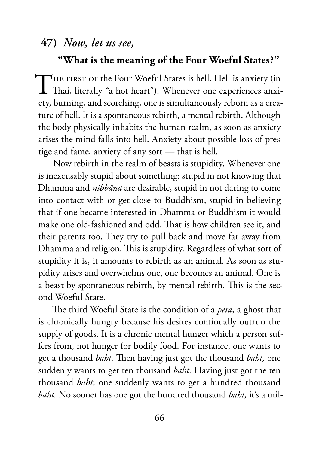## **47)** *Now, let us see,*

#### **47) "What is the meaning of the Four Woeful States?"**

THE FIRST OF the Four Woeful States is hell. Hell is anxiety (in<br>Thai, literally "a hot heart"). Whenever one experiences anxi-Thai, literally "a hot heart"). Whenever one experiences anxiety, burning, and scorching, one is simultaneously reborn as a creature of hell. It is a spontaneous rebirth, a mental rebirth. Although the body physically inhabits the human realm, as soon as anxiety arises the mind falls into hell. Anxiety about possible loss of prestige and fame, anxiety of any sort — that is hell.

Now rebirth in the realm of beasts is stupidity. Whenever one is inexcusably stupid about something: stupid in not knowing that Dhamma and *nibbāna* are desirable, stupid in not daring to come into contact with or get close to Buddhism, stupid in believing that if one became interested in Dhamma or Buddhism it would make one old-fashioned and odd. That is how children see it, and their parents too. They try to pull back and move far away from Dhamma and religion. This is stupidity. Regardless of what sort of stupidity it is, it amounts to rebirth as an animal. As soon as stupidity arises and overwhelms one, one becomes an animal. One is a beast by spontaneous rebirth, by mental rebirth. This is the second Woeful State.

The third Woeful State is the condition of a *peta,* a ghost that is chronically hungry because his desires continually outrun the supply of goods. It is a chronic mental hunger which a person suffers from, not hunger for bodily food. For instance, one wants to get a thousand *baht.* Then having just got the thousand *baht,* one suddenly wants to get ten thousand *baht.* Having just got the ten thousand *baht,* one suddenly wants to get a hundred thousand *baht.* No sooner has one got the hundred thousand *baht,* it's a mil-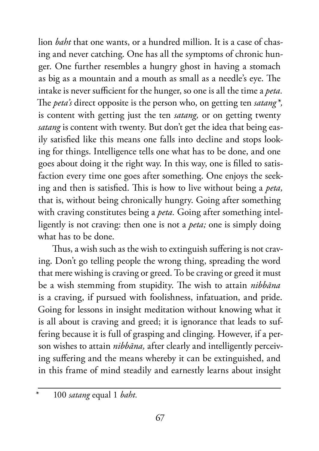lion *baht* that one wants, or a hundred million. It is a case of chasing and never catching. One has all the symptoms of chronic hunger. One further resembles a hungry ghost in having a stomach as big as a mountain and a mouth as small as a needle's eye. The intake is never sufficient for the hunger, so one is all the time a *peta.*  The *peta's* direct opposite is the person who, on getting ten *satang \*,*  is content with getting just the ten *satang,* or on getting twenty *satang* is content with twenty. But don't get the idea that being easily satisfied like this means one falls into decline and stops looking for things. Intelligence tells one what has to be done, and one goes about doing it the right way. In this way, one is filled to satisfaction every time one goes after something. One enjoys the seeking and then is satisfied. This is how to live without being a *peta,*  that is, without being chronically hungry. Going after something with craving constitutes being a *peta.* Going after something intelligently is not craving: then one is not a *peta;* one is simply doing what has to be done.

Thus, a wish such as the wish to extinguish suffering is not craving. Don't go telling people the wrong thing, spreading the word that mere wishing is craving or greed. To be craving or greed it must be a wish stemming from stupidity. The wish to attain *nibbāna*  is a craving, if pursued with foolishness, infatuation, and pride. Going for lessons in insight meditation without knowing what it is all about is craving and greed; it is ignorance that leads to suffering because it is full of grasping and clinging. However, if a person wishes to attain *nibbāna,* after clearly and intelligently perceiving suffering and the means whereby it can be extinguished, and in this frame of mind steadily and earnestly learns about insight

*<sup>\*</sup>* 100 *satang* equal 1 *baht.*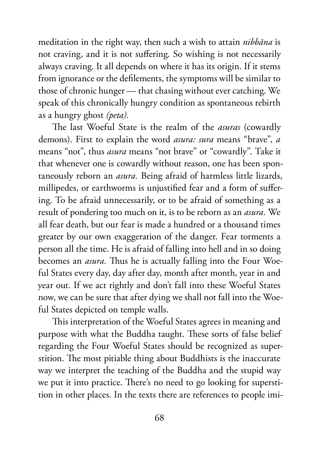meditation in the right way, then such a wish to attain *nibbāna* is not craving, and it is not suffering. So wishing is not necessarily always craving. It all depends on where it has its origin. If it stems from ignorance or the defilements, the symptoms will be similar to those of chronic hunger — that chasing without ever catching. We speak of this chronically hungry condition as spontaneous rebirth as a hungry ghost *(peta).*

The last Woeful State is the realm of the *asuras* (cowardly demons). First to explain the word *asura: sura* means "brave", *a*  means "not", thus *asura* means "not brave" or "cowardly". Take it that whenever one is cowardly without reason, one has been spontaneously reborn an *asura.* Being afraid of harmless little lizards, millipedes, or earthworms is unjustified fear and a form of suffering. To be afraid unnecessarily, or to be afraid of something as a result of pondering too much on it, is to be reborn as an *asura.* We all fear death, but our fear is made a hundred or a thousand times greater by our own exaggeration of the danger. Fear torments a person all the time. He is afraid of falling into hell and in so doing becomes an *asura.* Thus he is actually falling into the Four Woeful States every day, day after day, month after month, year in and year out. If we act rightly and don't fall into these Woeful States now, we can be sure that after dying we shall not fall into the Woeful States depicted on temple walls.

This interpretation of the Woeful States agrees in meaning and purpose with what the Buddha taught. These sorts of false belief regarding the Four Woeful States should be recognized as superstition. The most pitiable thing about Buddhists is the inaccurate way we interpret the teaching of the Buddha and the stupid way we put it into practice. There's no need to go looking for superstition in other places. In the texts there are references to people imi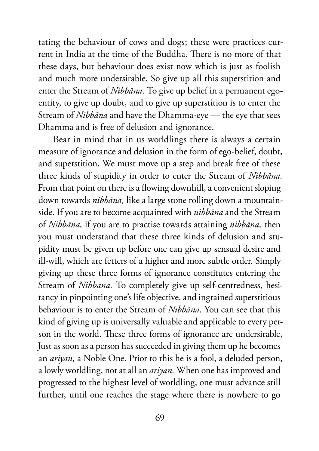tating the behaviour of cows and dogs; these were practices current in India at the time of the Buddha. There is no more of that these days, but behaviour does exist now which is just as foolish and much more undersirable. So give up all this superstition and enter the Stream of *Nibbāna.* To give up belief in a permanent egoentity, to give up doubt, and to give up superstition is to enter the Stream of *Nibbāna* and have the Dhamma-eye — the eye that sees Dhamma and is free of delusion and ignorance.

Bear in mind that in us worldlings there is always a certain measure of ignorance and delusion in the form of ego-belief, doubt, and superstition. We must move up a step and break free of these three kinds of stupidity in order to enter the Stream of *Nibbāna.*  From that point on there is a flowing downhill, a convenient sloping down towards *nibbāna,* like a large stone rolling down a mountainside. If you are to become acquainted with *nibbāna* and the Stream of *Nibbāna,* if you are to practise towards attaining *nibbāna,* then you must understand that these three kinds of delusion and stupidity must be given up before one can give up sensual desire and ill-will, which are fetters of a higher and more subtle order. Simply giving up these three forms of ignorance constitutes entering the Stream of *Nibbāna.* To completely give up self-centredness, hesitancy in pinpointing one's life objective, and ingrained superstitious behaviour is to enter the Stream of *Nibbāna.* You can see that this kind of giving up is universally valuable and applicable to every person in the world. These three forms of ignorance are undersirable, Just as soon as a person has succeeded in giving them up he becomes an *ariyan,* a Noble One. Prior to this he is a fool, a deluded person, a lowly worldling, not at all an *ariyan.* When one has improved and progressed to the highest level of worldling, one must advance still further, until one reaches the stage where there is nowhere to go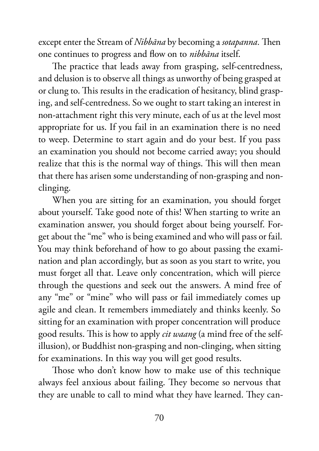except enter the Stream of *Nibbāna* by becoming a *sotapanna.* Then one continues to progress and flow on to *nibbāna* itself.

The practice that leads away from grasping, self-centredness, and delusion is to observe all things as unworthy of being grasped at or clung to. This results in the eradication of hesitancy, blind grasping, and self-centredness. So we ought to start taking an interest in non-attachment right this very minute, each of us at the level most appropriate for us. If you fail in an examination there is no need to weep. Determine to start again and do your best. If you pass an examination you should not become carried away; you should realize that this is the normal way of things. This will then mean that there has arisen some understanding of non-grasping and nonclinging.

When you are sitting for an examination, you should forget about yourself. Take good note of this! When starting to write an examination answer, you should forget about being yourself. Forget about the "me" who is being examined and who will pass or fail. You may think beforehand of how to go about passing the examination and plan accordingly, but as soon as you start to write, you must forget all that. Leave only concentration, which will pierce through the questions and seek out the answers. A mind free of any "me" or "mine" who will pass or fail immediately comes up agile and clean. It remembers immediately and thinks keenly. So sitting for an examination with proper concentration will produce good results. This is how to apply *cit waang* (a mind free of the selfillusion), or Buddhist non-grasping and non-clinging, when sitting for examinations. In this way you will get good results.

Those who don't know how to make use of this technique always feel anxious about failing. They become so nervous that they are unable to call to mind what they have learned. They can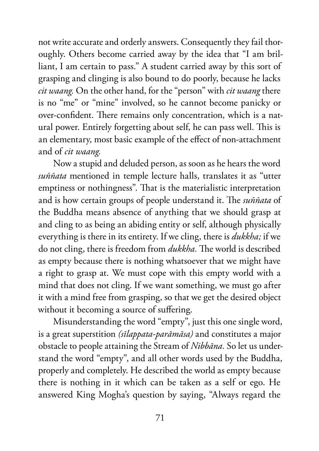not write accurate and orderly answers. Consequently they fail thoroughly. Others become carried away by the idea that "I am brilliant, I am certain to pass." A student carried away by this sort of grasping and clinging is also bound to do poorly, because he lacks *cit waang.* On the other hand, for the "person" with *cit waang* there is no "me" or "mine" involved, so he cannot become panicky or over-confident. There remains only concentration, which is a natural power. Entirely forgetting about self, he can pass well. This is an elementary, most basic example of the effect of non-attachment and of *cit waang.*

Now a stupid and deluded person, as soon as he hears the word *suññata* mentioned in temple lecture halls, translates it as "utter emptiness or nothingness". That is the materialistic interpretation and is how certain groups of people understand it. The *suññata* of the Buddha means absence of anything that we should grasp at and cling to as being an abiding entity or self, although physically everything is there in its entirety. If we cling, there is *dukkha;* if we do not cling, there is freedom from *dukkha.* The world is described as empty because there is nothing whatsoever that we might have a right to grasp at. We must cope with this empty world with a mind that does not cling. If we want something, we must go after it with a mind free from grasping, so that we get the desired object without it becoming a source of suffering.

Misunderstanding the word "empty", just this one single word, is a great superstition *(sīlappata-parāmāsa)* and constitutes a major obstacle to people attaining the Stream of *Nibbāna.* So let us understand the word "empty", and all other words used by the Buddha, properly and completely. He described the world as empty because there is nothing in it which can be taken as a self or ego. He answered King Mogha's question by saying, "Always regard the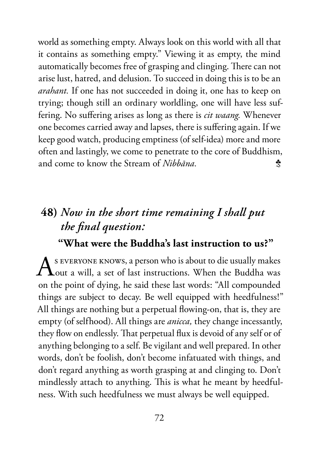world as something empty. Always look on this world with all that it contains as something empty." Viewing it as empty, the mind automatically becomes free of grasping and clinging. There can not arise lust, hatred, and delusion. To succeed in doing this is to be an *arahant.* If one has not succeeded in doing it, one has to keep on trying; though still an ordinary worldling, one will have less suffering. No suffering arises as long as there is *cit waang.* Whenever one becomes carried away and lapses, there is suffering again. If we keep good watch, producing emptiness (of self-idea) more and more often and lastingly, we come to penetrate to the core of Buddhism, and come to know the Stream of *Nibbāna*.

# **48)** *Now in the short time remaining I shall put the final question:*

#### **48) "What were the Buddha's last instruction to us?"**

 $A<sup>s</sup>$  EVERYONE KNOWS, a person who is about to die usually makes<br>
out a will, a set of last instructions. When the Buddha was out a will, a set of last instructions. When the Buddha was on the point of dying, he said these last words: "All compounded things are subject to decay. Be well equipped with heedfulness!" All things are nothing but a perpetual flowing-on, that is, they are empty (of selfhood). All things are *anicca,* they change incessantly, they flow on endlessly. That perpetual flux is devoid of any self or of anything belonging to a self. Be vigilant and well prepared. In other words, don't be foolish, don't become infatuated with things, and don't regard anything as worth grasping at and clinging to. Don't mindlessly attach to anything. This is what he meant by heedfulness. With such heedfulness we must always be well equipped.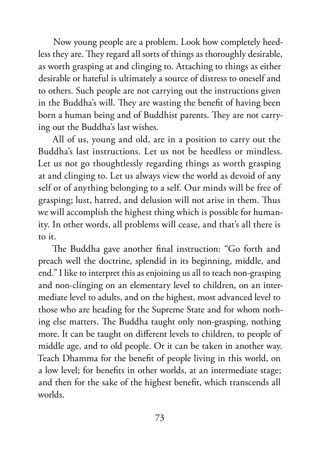Now young people are a problem. Look how completely heedless they are. They regard all sorts of things as thoroughly desirable, as worth grasping at and clinging to. Attaching to things as either desirable or hateful is ultimately a source of distress to oneself and to others. Such people are not carrying out the instructions given in the Buddha's will. They are wasting the benefit of having been born a human being and of Buddhist parents. They are not carrying out the Buddha's last wishes.

All of us, young and old, are in a position to carry out the Buddha's last instructions. Let us not be heedless or mindless. Let us not go thoughtlessly regarding things as worth grasping at and clinging to. Let us always view the world as devoid of any self or of anything belonging to a self. Our minds will be free of grasping; lust, hatred, and delusion will not arise in them. Thus we will accomplish the highest thing which is possible for humanity. In other words, all problems will cease, and that's all there is to it.

The Buddha gave another final instruction: "Go forth and preach well the doctrine, splendid in its beginning, middle, and end." I like to interpret this as enjoining us all to teach non-grasping and non-clinging on an elementary level to children, on an intermediate level to adults, and on the highest, most advanced level to those who are heading for the Supreme State and for whom nothing else matters. The Buddha taught only non-grasping, nothing more. It can be taught on different levels to children, to people of middle age, and to old people. Or it can be taken in another way. Teach Dhamma for the benefit of people living in this world, on a low level; for benefits in other worlds, at an intermediate stage; and then for the sake of the highest benefit, which transcends all worlds.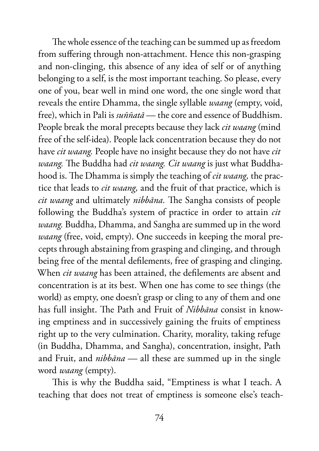The whole essence of the teaching can be summed up as freedom from suffering through non-attachment. Hence this non-grasping and non-clinging, this absence of any idea of self or of anything belonging to a self, is the most important teaching. So please, every one of you, bear well in mind one word, the one single word that reveals the entire Dhamma, the single syllable *waang* (empty, void, free), which in Pali is *suññatā* — the core and essence of Buddhism. People break the moral precepts because they lack *cit waang* (mind free of the self-idea). People lack concentration because they do not have *cit waang.* People have no insight because they do not have *cit waang.* The Buddha had *cit waang. Cit waang* is just what Buddhahood is. The Dhamma is simply the teaching of *cit waang,* the practice that leads to *cit waang,* and the fruit of that practice, which is *cit waang* and ultimately *nibbāna.* The Sangha consists of people following the Buddha's system of practice in order to attain *cit waang.* Buddha, Dhamma, and Sangha are summed up in the word *waang* (free, void, empty). One succeeds in keeping the moral precepts through abstaining from grasping and clinging, and through being free of the mental defilements, free of grasping and clinging. When *cit waang* has been attained, the defilements are absent and concentration is at its best. When one has come to see things (the world) as empty, one doesn't grasp or cling to any of them and one has full insight. The Path and Fruit of *Nibbāna* consist in knowing emptiness and in successively gaining the fruits of emptiness right up to the very culmination. Charity, morality, taking refuge (in Buddha, Dhamma, and Sangha), concentration, insight, Path and Fruit, and *nibbāna* — all these are summed up in the single word *waang* (empty).

This is why the Buddha said, "Emptiness is what I teach. A teaching that does not treat of emptiness is someone else's teach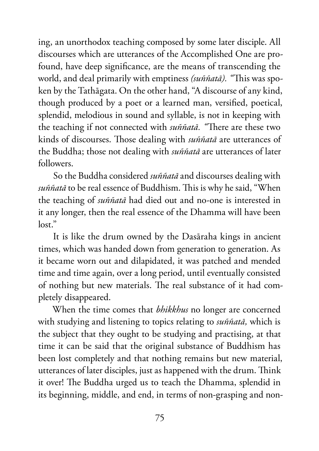ing, an unorthodox teaching composed by some later disciple. All discourses which are utterances of the Accomplished One are profound, have deep significance, are the means of transcending the world, and deal primarily with emptiness *(suññatā). "*This was spoken by the Tathāgata. On the other hand, "A discourse of any kind, though produced by a poet or a learned man, versified, poetical, splendid, melodious in sound and syllable, is not in keeping with the teaching if not connected with *suññatā. "*There are these two kinds of discourses. Those dealing with *suññatā* are utterances of the Buddha; those not dealing with *suññatā* are utterances of later followers.

So the Buddha considered *suññatā* and discourses dealing with *suññatā* to be real essence of Buddhism. This is why he said, "When the teaching of *suññatā* had died out and no-one is interested in it any longer, then the real essence of the Dhamma will have been lost."

It is like the drum owned by the Dasāraha kings in ancient times, which was handed down from generation to generation. As it became worn out and dilapidated, it was patched and mended time and time again, over a long period, until eventually consisted of nothing but new materials. The real substance of it had completely disappeared.

When the time comes that *bhikkhus* no longer are concerned with studying and listening to topics relating to *suññatā,* which is the subject that they ought to be studying and practising, at that time it can be said that the original substance of Buddhism has been lost completely and that nothing remains but new material, utterances of later disciples, just as happened with the drum. Think it over! The Buddha urged us to teach the Dhamma, splendid in its beginning, middle, and end, in terms of non-grasping and non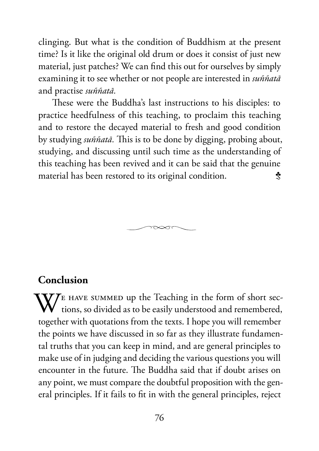clinging. But what is the condition of Buddhism at the present time? Is it like the original old drum or does it consist of just new material, just patches? We can find this out for ourselves by simply examining it to see whether or not people are interested in *suññatā* and practise *suññatā.*

These were the Buddha's last instructions to his disciples: to practice heedfulness of this teaching, to proclaim this teaching and to restore the decayed material to fresh and good condition by studying *suññatā.* This is to be done by digging, probing about, studying, and discussing until such time as the understanding of this teaching has been revived and it can be said that the genuine material has been restored to its original condition.

 $\sim$ 

#### **Conclusion**

WE HAVE SUMMED up the Teaching in the form of short sec-<br>tions, so divided as to be easily understood and remembered, tions, so divided as to be easily understood and remembered, together with quotations from the texts. I hope you will remember the points we have discussed in so far as they illustrate fundamental truths that you can keep in mind, and are general principles to make use of in judging and deciding the various questions you will encounter in the future. The Buddha said that if doubt arises on any point, we must compare the doubtful proposition with the general principles. If it fails to fit in with the general principles, reject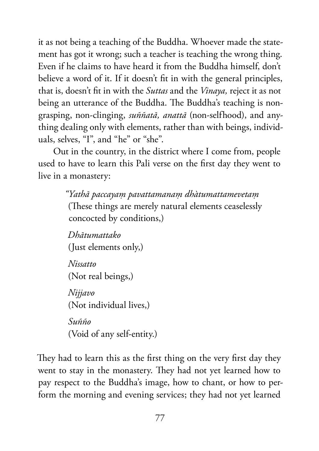it as not being a teaching of the Buddha. Whoever made the statement has got it wrong; such a teacher is teaching the wrong thing. Even if he claims to have heard it from the Buddha himself, don't believe a word of it. If it doesn't fit in with the general principles, that is, doesn't fit in with the *Suttas* and the *Vinaya,* reject it as not being an utterance of the Buddha. The Buddha's teaching is nongrasping, non-clinging, *suññatā, anattā* (non-selfhood), and anything dealing only with elements, rather than with beings, individuals, selves, "I", and "he" or "she".

Out in the country, in the district where I come from, people used to have to learn this Pali verse on the first day they went to live in a monastery:

> *"Yathā paccayaṃ pavattamanaṃ dhàtumattamevetaṃ* (These things are merely natural elements ceaselessly concocted by conditions,)

*Dhātumattako* (Just elements only,) *Nissatto* (Not real beings,) *Nijjavo* (Not individual lives,)

*Suñño* (Void of any self-entity.)

They had to learn this as the first thing on the very first day they went to stay in the monastery. They had not yet learned how to pay respect to the Buddha's image, how to chant, or how to perform the morning and evening services; they had not yet learned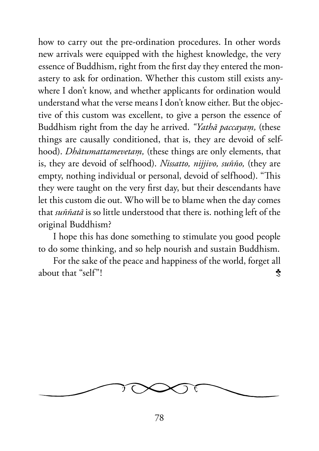how to carry out the pre-ordination procedures. In other words new arrivals were equipped with the highest knowledge, the very essence of Buddhism, right from the first day they entered the monastery to ask for ordination. Whether this custom still exists anywhere I don't know, and whether applicants for ordination would understand what the verse means I don't know either. But the objective of this custom was excellent, to give a person the essence of Buddhism right from the day he arrived. *"Yathā paccayaṃ,* (these things are causally conditioned, that is, they are devoid of selfhood). *Dhātumattamevetaṃ,* (these things are only elements, that is, they are devoid of selfhood). *Nissatto, nijjivo, suñño,* (they are empty, nothing individual or personal, devoid of selfhood). "This they were taught on the very first day, but their descendants have let this custom die out. Who will be to blame when the day comes that *suññatā* is so little understood that there is. nothing left of the original Buddhism?

I hope this has done something to stimulate you good people to do some thinking, and so help nourish and sustain Buddhism.

For the sake of the peace and happiness of the world, forget all about that "self"!

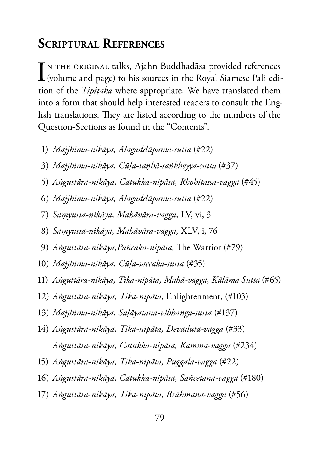# **SCRIPTURAL REFERENCES**

IN THE ORIGINAL talks, Ajahn Buddhadāsa provided references<br>(volume and page) to his sources in the Royal Siamese Pali edi- $\blacktriangle$  (volume and page) to his sources in the Royal Siamese Pali edition of the *Tipiṭaka* where appropriate. We have translated them into a form that should help interested readers to consult the English translations. They are listed according to the numbers of the Question-Sections as found in the "Contents".

- 1) *Majjhima-nikāya, Alagaddūpama-sutta* (#22)
- 3) *Majjhima-nikāya, Cūḷa-taṇhā-saṅkheyya-sutta* (#37)
- 5) *Aṅguttāra-nikāya, Catukka-nipāta, Rhohitassa-vagga* (#45)
- 6) *Majjhima-nikāya, Alagaddūpama-sutta* (#22)
- 7) *Saṃyutta-nikāya, Mahāvāra-vagga,* LV, vi, 3
- 8) *Saṃyutta-nikāya, Mahāvāra-vagga,* XLV, i, 76
- 9) *Aṅguttāra-nikāya,Pañcaka-nipāta,* The Warrior (#79)
- 10) *Majjhima-nikāya, Cūḷa-saccaka-sutta* (#35)
- 11) *Aṅguttāra-nikāya, Tika-nipāta, Mahā-vagga, Kālāma Sutta* (#65)
- 12) *Aṅguttāra-nikāya, Tika-nipāta,* Enlightenment, (#103)
- 13) *Majjhima-nikāya, Saḷāyatana-vibhaṅga-sutta* (#137)
- 14) *Aṅguttāra-nikāya, Tika-nipāta, Devaduta-vagga* (#33)  *Aṅguttāra-nikāya, Catukka-nipāta, Kamma-vagga* (#234)
- 15) *Aṅguttāra-nikāya, Tika-nipāta, Puggala-vagga* (#22)
- 16) *Aṅguttāra-nikāya, Catukka-nipāta, Sañcetana-vagga* (#180)
- 17) *Aṅguttāra-nikāya, Tika-nipāta, Brāhmana-vagga* (#56)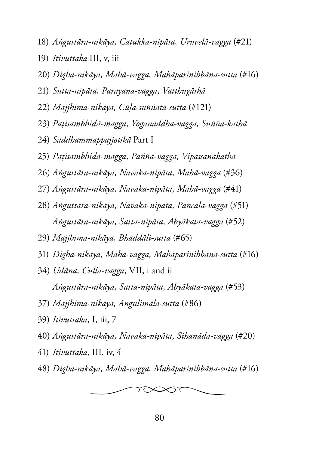- 18) *Aṅguttāra-nikāya, Catukka-nipāta, Uruvelā-vagga* (#21)
- 19) *Itivuttaka* III, v, iii
- 20) *Digha-nikāya, Mahā-vagga, Mahāparinibbāna-sutta* (#16)
- 21) *Sutta-nipāta, Parayana-vagga, Vatthugāthā*
- 22) *Majjhima-nikāya, Cūḷa-suññatā-sutta* (#121)
- 23) *Paṭisambhidā-magga, Yoganaddha-vagga, Suñña-kathā*
- 24) *Saddhammappajjotikā* Part I
- 25) *Paṭisambhidā-magga, Paññā-vagga, Vipassanākathā*
- 26) *Aṅguttāra-nikāya, Navaka-nipāta, Mahā-vagga* (#36)
- 27) *Aṅguttāra-nikāya, Navaka-nipāta, Mahā-vagga* (#41)
- 28) *Aṅguttāra-nikāya, Navaka-nipāta, Pancāla-vagga* (#51)  *Aṅguttāra-nikāya, Satta-nipāta, Abyākata-vagga* (#52)
- 29) *Majjhima-nikāya, Bhaddāli-sutta* (#65)
- 31) *Digha-nikāya, Mahā-vagga, Mahāparinibbāna-sutta* (#16)
- 34) *Udāna, Culla-vagga,* VII, i and ii  *Aṅguttāra-nikāya, Satta-nipāta, Abyākata-vagga* (#53)
- 37) *Majjhima-nikāya, Angulimāla-sutta* (#86)
- 39) *Itivuttaka,* I, iii, 7
- 40) *Aṅguttāra-nikāya, Navaka-nipāta, Sihanāda-vagga* (#20)
- 41) *Itivuttaka,* III, iv, 4
- 48) *Digha-nikāya, Mahā-vagga, Mahāparinibbāna-sutta* (#16)

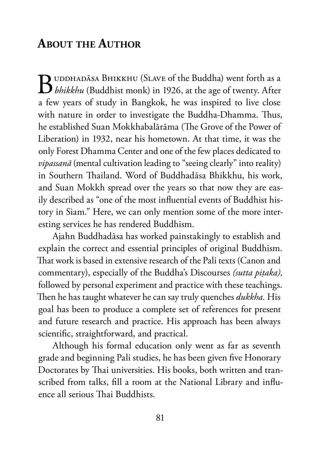## **ABOUT THE AUTHOR**

BUDDHADĀSA BHIKKHU (SLAVE of the Buddha) went forth as a bindhabha (Buddhist monk) in 1926, at the age of twenty. After *bhikkhu* (Buddhist monk) in 1926, at the age of twenty. After a few years of study in Bangkok, he was inspired to live close with nature in order to investigate the Buddha-Dhamma. Thus, he established Suan Mokkhabalārāma (The Grove of the Power of Liberation) in 1932, near his hometown. At that time, it was the only Forest Dhamma Center and one of the few places dedicated to *vipassanā* (mental cultivation leading to "seeing clearly" into reality) in Southern Thailand. Word of Buddhadāsa Bhikkhu, his work, and Suan Mokkh spread over the years so that now they are easily described as "one of the most influential events of Buddhist history in Siam." Here, we can only mention some of the more interesting services he has rendered Buddhism.

Ajahn Buddhadāsa has worked painstakingly to establish and explain the correct and essential principles of original Buddhism. That work is based in extensive research of the Pali texts (Canon and commentary), especially of the Buddha's Discourses *(sutta piṭaka),*  followed by personal experiment and practice with these teachings. Then he has taught whatever he can say truly quenches *dukkha.* His goal has been to produce a complete set of references for present and future research and practice. His approach has been always scientific, straightforward, and practical.

Although his formal education only went as far as seventh grade and beginning Pali studies, he has been given five Honorary Doctorates by Thai universities. His books, both written and transcribed from talks, fill a room at the National Library and influence all serious Thai Buddhists.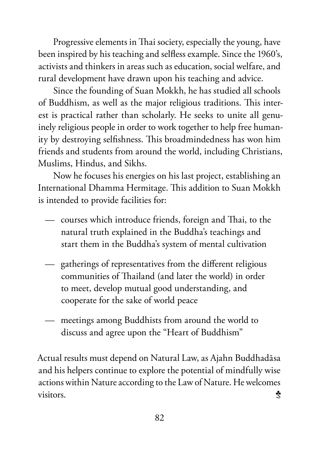Progressive elements in Thai society, especially the young, have been inspired by his teaching and selfless example. Since the 1960's, activists and thinkers in areas such as education, social welfare, and rural development have drawn upon his teaching and advice.

Since the founding of Suan Mokkh, he has studied all schools of Buddhism, as well as the major religious traditions. This interest is practical rather than scholarly. He seeks to unite all genuinely religious people in order to work together to help free humanity by destroying selfishness. This broadmindedness has won him friends and students from around the world, including Christians, Muslims, Hindus, and Sikhs.

Now he focuses his energies on his last project, establishing an International Dhamma Hermitage. This addition to Suan Mokkh is intended to provide facilities for:

- courses which introduce friends, foreign and Thai, to the natural truth explained in the Buddha's teachings and start them in the Buddha's system of mental cultivation
- gatherings of representatives from the different religious communities of Thailand (and later the world) in order to meet, develop mutual good understanding, and cooperate for the sake of world peace
- meetings among Buddhists from around the world to discuss and agree upon the "Heart of Buddhism"

Actual results must depend on Natural Law, as Ajahn Buddhadāsa and his helpers continue to explore the potential of mindfully wise actions within Nature according to the Law of Nature. He welcomes  $\sim$  visitors.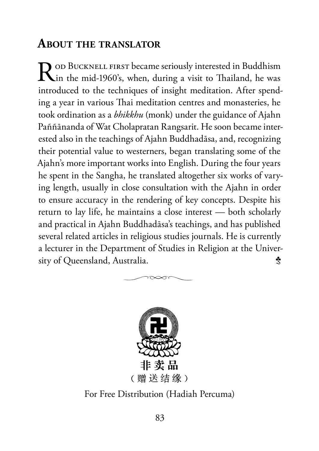## **ABOUT THE TRANSLATOR**

ROD BUCKNELL FIRST became seriously interested in Buddhism<br>in the mid-1960's, when, during a visit to Thailand, he was in the mid-1960's, when, during a visit to Thailand, he was introduced to the techniques of insight meditation. After spending a year in various Thai meditation centres and monasteries, he took ordination as a *bhikkhu* (monk) under the guidance of Ajahn Paññānanda of Wat Cholapratan Rangsarit. He soon became interested also in the teachings of Ajahn Buddhadāsa, and, recognizing their potential value to westerners, began translating some of the Ajahn's more important works into English. During the four years he spent in the Sangha, he translated altogether six works of varying length, usually in close consultation with the Ajahn in order to ensure accuracy in the rendering of key concepts. Despite his return to lay life, he maintains a close interest — both scholarly and practical in Ajahn Buddhadāsa's teachings, and has published several related articles in religious studies journals. He is currently a lecturer in the Department of Studies in Religion at the University of Queensland, Australia. 3



For Free Distribution (Hadiah Percuma)